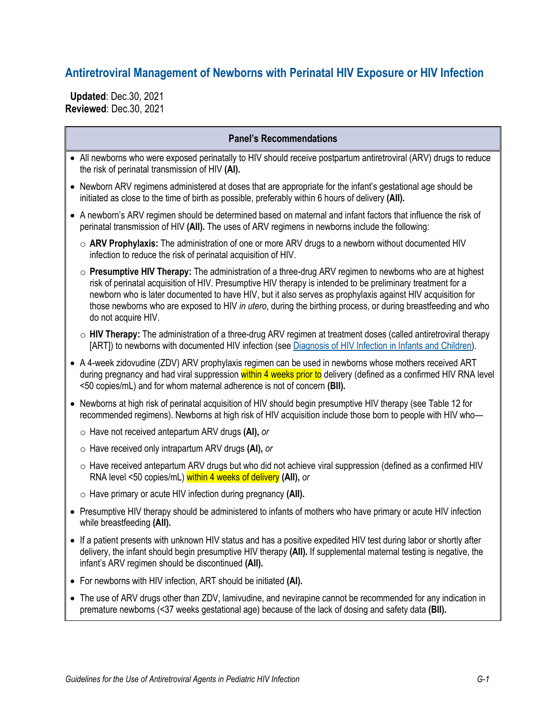## **Antiretroviral Management of Newborns with Perinatal HIV Exposure or HIV Infection**

 **Updated**: Dec.30, 2021 **Reviewed**: Dec.30, 2021

|  | <b>Panel's Recommendations</b> |  |
|--|--------------------------------|--|
|--|--------------------------------|--|

- All newborns who were exposed perinatally to HIV should receive postpartum antiretroviral (ARV) drugs to reduce the risk of perinatal transmission of HIV **(AI).**
- Newborn ARV regimens administered at doses that are appropriate for the infant's gestational age should be initiated as close to the time of birth as possible, preferably within 6 hours of delivery **(AII).**
- A newborn's ARV regimen should be determined based on maternal and infant factors that influence the risk of perinatal transmission of HIV **(AII).** The uses of ARV regimens in newborns include the following:
	- o **ARV Prophylaxis:** The administration of one or more ARV drugs to a newborn without documented HIV infection to reduce the risk of perinatal acquisition of HIV.
	- o **Presumptive HIV Therapy:** The administration of a three-drug ARV regimen to newborns who are at highest risk of perinatal acquisition of HIV. Presumptive HIV therapy is intended to be preliminary treatment for a newborn who is later documented to have HIV, but it also serves as prophylaxis against HIV acquisition for those newborns who are exposed to HIV *in utero*, during the birthing process, or during breastfeeding and who do not acquire HIV.
	- o **HIV Therapy:** The administration of a three-drug ARV regimen at treatment doses (called antiretroviral therapy [ART]) to newborns with documented HIV infection (see [Diagnosis of HIV Infection in Infants and](https://clinicalinfo.hiv.gov/en/guidelines/perinatal/diagnosis-hiv-infection-infants-and-children) Children).
- A 4-week zidovudine (ZDV) ARV prophylaxis regimen can be used in newborns whose mothers received ART during pregnancy and had viral suppression within 4 weeks prior to delivery (defined as a confirmed HIV RNA level <50 copies/mL) and for whom maternal adherence is not of concern **(BII).**
- Newborns at high risk of perinatal acquisition of HIV should begin presumptive HIV therapy (see Table 12 for recommended regimens). Newborns at high risk of HIV acquisition include those born to people with HIV who
	- o Have not received antepartum ARV drugs **(AI),** *or*
	- o Have received only intrapartum ARV drugs **(AI),** *or*
	- $\circ$  Have received antepartum ARV drugs but who did not achieve viral suppression (defined as a confirmed HIV RNA level <50 copies/mL) within 4 weeks of delivery **(AII),** *or*
	- o Have primary or acute HIV infection during pregnancy **(AII).**
- Presumptive HIV therapy should be administered to infants of mothers who have primary or acute HIV infection while breastfeeding **(AII).**
- If a patient presents with unknown HIV status and has a positive expedited HIV test during labor or shortly after delivery, the infant should begin presumptive HIV therapy **(AII).** If supplemental maternal testing is negative, the infant's ARV regimen should be discontinued **(AII).**
- For newborns with HIV infection, ART should be initiated **(AI).**
- The use of ARV drugs other than ZDV, lamivudine, and nevirapine cannot be recommended for any indication in premature newborns (<37 weeks gestational age) because of the lack of dosing and safety data **(BII).**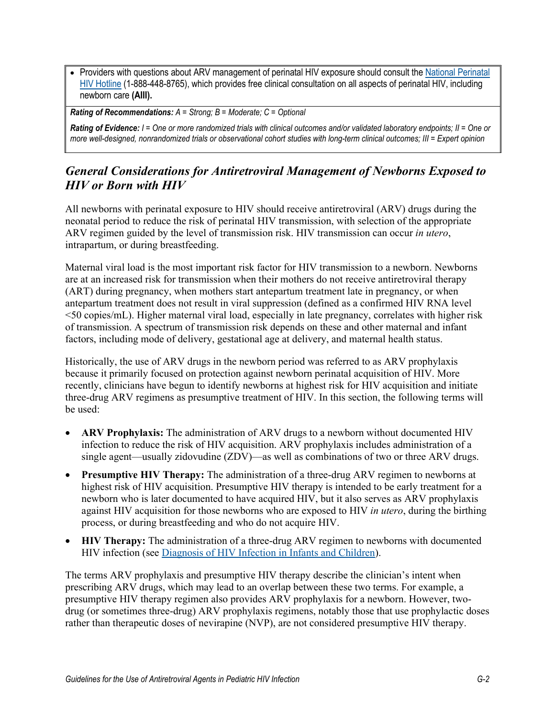• Providers with questions about ARV management of perinatal HIV exposure should consult the National Perinatal [HIV Hotline](https://nccc.ucsf.edu/clinician-consultation/perinatal-hiv-aids/) (1-888-448-8765), which provides free clinical consultation on all aspects of perinatal HIV, including newborn care **(AIII).**

*Rating of Recommendations: A = Strong; B = Moderate; C = Optional*

*Rating of Evidence: I = One or more randomized trials with clinical outcomes and/or validated laboratory endpoints; II = One or more well-designed, nonrandomized trials or observational cohort studies with long-term clinical outcomes; III = Expert opinion*

## *General Considerations for Antiretroviral Management of Newborns Exposed to HIV or Born with HIV*

All newborns with perinatal exposure to HIV should receive antiretroviral (ARV) drugs during the neonatal period to reduce the risk of perinatal HIV transmission, with selection of the appropriate ARV regimen guided by the level of transmission risk. HIV transmission can occur *in utero*, intrapartum, or during breastfeeding.

Maternal viral load is the most important risk factor for HIV transmission to a newborn. Newborns are at an increased risk for transmission when their mothers do not receive antiretroviral therapy (ART) during pregnancy, when mothers start antepartum treatment late in pregnancy, or when antepartum treatment does not result in viral suppression (defined as a confirmed HIV RNA level <50 copies/mL). Higher maternal viral load, especially in late pregnancy, correlates with higher risk of transmission. A spectrum of transmission risk depends on these and other maternal and infant factors, including mode of delivery, gestational age at delivery, and maternal health status.

Historically, the use of ARV drugs in the newborn period was referred to as ARV prophylaxis because it primarily focused on protection against newborn perinatal acquisition of HIV. More recently, clinicians have begun to identify newborns at highest risk for HIV acquisition and initiate three-drug ARV regimens as presumptive treatment of HIV. In this section, the following terms will be used:

- **ARV Prophylaxis:** The administration of ARV drugs to a newborn without documented HIV infection to reduce the risk of HIV acquisition. ARV prophylaxis includes administration of a single agent—usually zidovudine (ZDV)—as well as combinations of two or three ARV drugs.
- **Presumptive HIV Therapy:** The administration of a three-drug ARV regimen to newborns at highest risk of HIV acquisition. Presumptive HIV therapy is intended to be early treatment for a newborn who is later documented to have acquired HIV, but it also serves as ARV prophylaxis against HIV acquisition for those newborns who are exposed to HIV *in utero*, during the birthing process, or during breastfeeding and who do not acquire HIV.
- **HIV Therapy:** The administration of a three-drug ARV regimen to newborns with documented HIV infection (see Diagnosis [of HIV Infection in Infants and Children\)](https://clinicalinfo.hiv.gov/en/guidelines/perinatal/diagnosis-hiv-infection-infants-and-children).

The terms ARV prophylaxis and presumptive HIV therapy describe the clinician's intent when prescribing ARV drugs, which may lead to an overlap between these two terms. For example, a presumptive HIV therapy regimen also provides ARV prophylaxis for a newborn. However, twodrug (or sometimes three-drug) ARV prophylaxis regimens, notably those that use prophylactic doses rather than therapeutic doses of nevirapine (NVP), are not considered presumptive HIV therapy.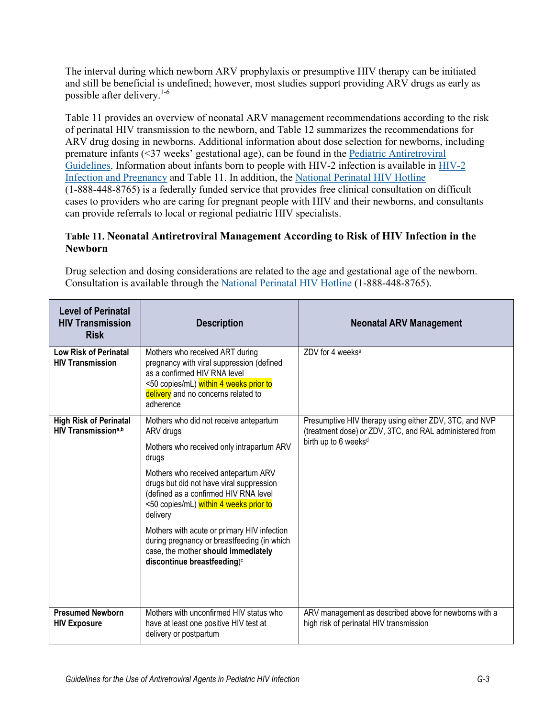The interval during which newborn ARV prophylaxis or presumptive HIV therapy can be initiated and still be beneficial is undefined; however, most studies support providing ARV drugs as early as possible after delivery[.1-6](#page-17-0)

Table 11 provides an overview of neonatal ARV management recommendations according to the risk of perinatal HIV transmission to the newborn, and Table 12 summarizes the recommendations for ARV drug dosing in newborns. Additional information about dose selection for newborns, including premature infants (<37 weeks' gestational age), can be found in the [Pediatric Antiretroviral](https://clinicalinfo.hiv.gov/en/guidelines/pediatric-arv/whats-new-guidelines)  [Guidelines.](https://clinicalinfo.hiv.gov/en/guidelines/pediatric-arv/whats-new-guidelines) Information about infants born to people with HIV-2 infection is available in [HIV-2](https://clinicalinfo.hiv.gov/en/guidelines/perinatal/hiv-2-infection-and-pregnancy?view=full)  [Infection and Pregnancy](https://clinicalinfo.hiv.gov/en/guidelines/perinatal/hiv-2-infection-and-pregnancy?view=full) and Table 11. In addition, the National [Perinatal HIV Hotline](http://nccc.ucsf.edu/clinician-consultation/perinatal-hiv-aids/) (1-888-448-8765) is a federally funded service that provides free clinical consultation on difficult cases to providers who are caring for pregnant people with HIV and their newborns, and consultants can provide referrals to local or regional pediatric HIV specialists.

#### **Table 11. Neonatal Antiretroviral Management According to Risk of HIV Infection in the Newborn**

Drug selection and dosing considerations are related to the age and gestational age of the newborn. Consultation is available through the [National Perinatal HIV Hotline](http://nccc.ucsf.edu/clinician-consultation/perinatal-hiv-aids/) (1-888-448-8765).

| <b>Level of Perinatal</b><br><b>HIV Transmission</b><br><b>Risk</b> | <b>Description</b>                                                                                                                                                                                                                                                                                                                                                                                                                                                          | <b>Neonatal ARV Management</b>                                                                                                                        |
|---------------------------------------------------------------------|-----------------------------------------------------------------------------------------------------------------------------------------------------------------------------------------------------------------------------------------------------------------------------------------------------------------------------------------------------------------------------------------------------------------------------------------------------------------------------|-------------------------------------------------------------------------------------------------------------------------------------------------------|
| <b>Low Risk of Perinatal</b><br><b>HIV Transmission</b>             | Mothers who received ART during<br>pregnancy with viral suppression (defined<br>as a confirmed HIV RNA level<br><50 copies/mL) within 4 weeks prior to<br>delivery and no concerns related to<br>adherence                                                                                                                                                                                                                                                                  | ZDV for 4 weeks <sup>a</sup>                                                                                                                          |
| <b>High Risk of Perinatal</b><br>HIV Transmission <sup>a,b</sup>    | Mothers who did not receive antepartum<br>ARV drugs<br>Mothers who received only intrapartum ARV<br>drugs<br>Mothers who received antepartum ARV<br>drugs but did not have viral suppression<br>(defined as a confirmed HIV RNA level<br><50 copies/mL) within 4 weeks prior to<br>delivery<br>Mothers with acute or primary HIV infection<br>during pregnancy or breastfeeding (in which<br>case, the mother should immediately<br>discontinue breastfeeding) <sup>c</sup> | Presumptive HIV therapy using either ZDV, 3TC, and NVP<br>(treatment dose) or ZDV, 3TC, and RAL administered from<br>birth up to 6 weeks <sup>d</sup> |
| <b>Presumed Newborn</b><br><b>HIV Exposure</b>                      | Mothers with unconfirmed HIV status who<br>have at least one positive HIV test at<br>delivery or postpartum                                                                                                                                                                                                                                                                                                                                                                 | ARV management as described above for newborns with a<br>high risk of perinatal HIV transmission                                                      |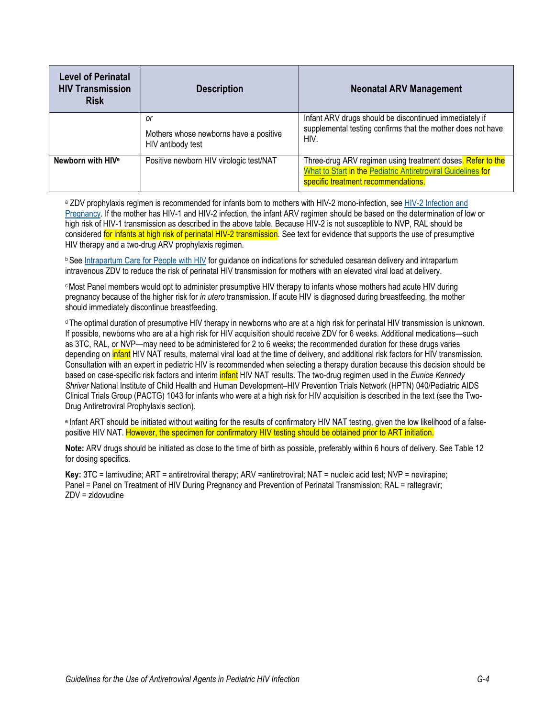| <b>Level of Perinatal</b><br><b>HIV Transmission</b><br><b>Risk</b> | <b>Description</b>                                                | <b>Neonatal ARV Management</b>                                                                                                                                    |  |  |
|---------------------------------------------------------------------|-------------------------------------------------------------------|-------------------------------------------------------------------------------------------------------------------------------------------------------------------|--|--|
|                                                                     | 0r<br>Mothers whose newborns have a positive<br>HIV antibody test | Infant ARV drugs should be discontinued immediately if<br>supplemental testing confirms that the mother does not have<br>HIV.                                     |  |  |
| Newborn with HIV <sup>e</sup>                                       | Positive newborn HIV virologic test/NAT                           | Three-drug ARV regimen using treatment doses. Refer to the<br>What to Start in the Pediatric Antiretroviral Guidelines for<br>specific treatment recommendations. |  |  |

<sup>a</sup> ZDV prophylaxis regimen is recommended for infants born to mothers with HIV-2 mono-infection, se[e HIV-2 Infection and](https://clinicalinfo.hiv.gov/en/guidelines/perinatal/hiv-2-infection-and-pregnancy?view=full)  [Pregnancy.](https://clinicalinfo.hiv.gov/en/guidelines/perinatal/hiv-2-infection-and-pregnancy?view=full) If the mother has HIV-1 and HIV-2 infection, the infant ARV regimen should be based on the determination of low or high risk of HIV-1 transmission as described in the above table. Because HIV-2 is not susceptible to NVP, RAL should be considered for infants at high risk of perinatal HIV-2 transmission. See text for evidence that supports the use of presumptive HIV therapy and a two-drug ARV prophylaxis regimen.

b See [Intrapartum Care for People with HIV](https://clinicalinfo.hiv.gov/en/guidelines/perinatal/intrapartum-antiretroviral-therapyprophylaxis) for guidance on indications for scheduled cesarean delivery and intrapartum intravenous ZDV to reduce the risk of perinatal HIV transmission for mothers with an elevated viral load at delivery.

cMost Panel members would opt to administer presumptive HIV therapy to infants whose mothers had acute HIV during pregnancy because of the higher risk for *in utero* transmission. If acute HIV is diagnosed during breastfeeding, the mother should immediately discontinue breastfeeding.

<sup>d</sup> The optimal duration of presumptive HIV therapy in newborns who are at a high risk for perinatal HIV transmission is unknown. If possible, newborns who are at a high risk for HIV acquisition should receive ZDV for 6 weeks. Additional medications—such as 3TC, RAL, or NVP—may need to be administered for 2 to 6 weeks; the recommended duration for these drugs varies depending on *infant* HIV NAT results, maternal viral load at the time of delivery, and additional risk factors for HIV transmission. Consultation with an expert in pediatric HIV is recommended when selecting a therapy duration because this decision should be based on case-specific risk factors and interim infant HIV NAT results. The two-drug regimen used in the *Eunice Kennedy Shriver* National Institute of Child Health and Human Development–HIV Prevention Trials Network (HPTN) 040/Pediatric AIDS Clinical Trials Group (PACTG) 1043 for infants who were at a high risk for HIV acquisition is described in the text (see the Two-Drug Antiretroviral Prophylaxis section).

e Infant ART should be initiated without waiting for the results of confirmatory HIV NAT testing, given the low likelihood of a falsepositive HIV NAT. However, the specimen for confirmatory HIV testing should be obtained prior to ART initiation.

**Note:** ARV drugs should be initiated as close to the time of birth as possible, preferably within 6 hours of delivery. See Table 12 for dosing specifics.

**Key:** 3TC = lamivudine; ART = antiretroviral therapy; ARV =antiretroviral; NAT = nucleic acid test; NVP = nevirapine; Panel = Panel on Treatment of HIV During Pregnancy and Prevention of Perinatal Transmission: RAL = raltegravir; ZDV = zidovudine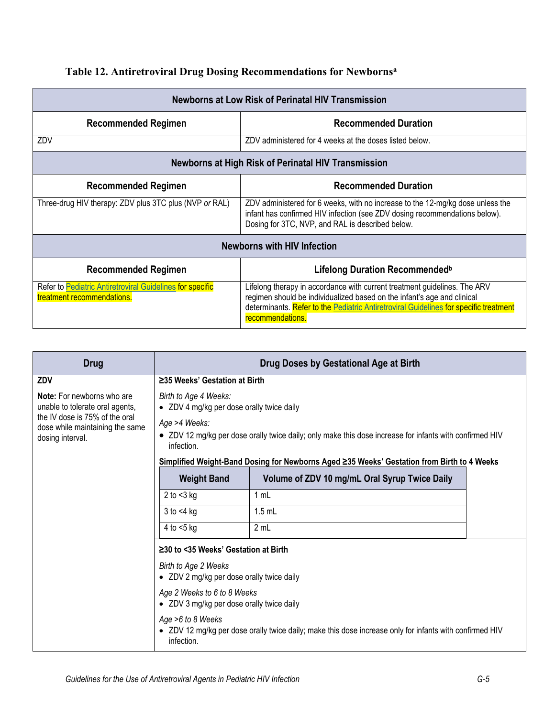|  |  |  | Table 12. Antiretroviral Drug Dosing Recommendations for Newborns <sup>a</sup> |  |  |
|--|--|--|--------------------------------------------------------------------------------|--|--|
|  |  |  |                                                                                |  |  |

| Newborns at Low Risk of Perinatal HIV Transmission                                      |                                                                                                                                                                                                                                                                   |  |  |  |
|-----------------------------------------------------------------------------------------|-------------------------------------------------------------------------------------------------------------------------------------------------------------------------------------------------------------------------------------------------------------------|--|--|--|
| <b>Recommended Duration</b><br><b>Recommended Regimen</b>                               |                                                                                                                                                                                                                                                                   |  |  |  |
| ZDV                                                                                     | ZDV administered for 4 weeks at the doses listed below.                                                                                                                                                                                                           |  |  |  |
| <b>Newborns at High Risk of Perinatal HIV Transmission</b>                              |                                                                                                                                                                                                                                                                   |  |  |  |
| <b>Recommended Regimen</b>                                                              | <b>Recommended Duration</b>                                                                                                                                                                                                                                       |  |  |  |
| Three-drug HIV therapy: ZDV plus 3TC plus (NVP or RAL)                                  | ZDV administered for 6 weeks, with no increase to the 12-mg/kg dose unless the<br>infant has confirmed HIV infection (see ZDV dosing recommendations below).<br>Dosing for 3TC, NVP, and RAL is described below.                                                  |  |  |  |
| <b>Newborns with HIV Infection</b>                                                      |                                                                                                                                                                                                                                                                   |  |  |  |
| <b>Recommended Regimen</b>                                                              | Lifelong Duration Recommended <sup>b</sup>                                                                                                                                                                                                                        |  |  |  |
| Refer to Pediatric Antiretroviral Guidelines for specific<br>treatment recommendations. | Lifelong therapy in accordance with current treatment guidelines. The ARV<br>regimen should be individualized based on the infant's age and clinical<br>determinants. Refer to the Pediatric Antiretroviral Guidelines for specific treatment<br>recommendations. |  |  |  |

| <b>Drug</b>                                                                           | Drug Doses by Gestational Age at Birth                                                                                                     |                                                                                            |  |  |
|---------------------------------------------------------------------------------------|--------------------------------------------------------------------------------------------------------------------------------------------|--------------------------------------------------------------------------------------------|--|--|
| ZDV                                                                                   | ≥35 Weeks' Gestation at Birth                                                                                                              |                                                                                            |  |  |
| <b>Note:</b> For newborns who are<br>unable to tolerate oral agents,                  | Birth to Age 4 Weeks:<br>• ZDV 4 mg/kg per dose orally twice daily                                                                         |                                                                                            |  |  |
| the IV dose is 75% of the oral<br>dose while maintaining the same<br>dosing interval. | Age >4 Weeks:<br>• ZDV 12 mg/kg per dose orally twice daily; only make this dose increase for infants with confirmed HIV<br>infection.     |                                                                                            |  |  |
|                                                                                       |                                                                                                                                            | Simplified Weight-Band Dosing for Newborns Aged ≥35 Weeks' Gestation from Birth to 4 Weeks |  |  |
|                                                                                       | <b>Weight Band</b>                                                                                                                         | Volume of ZDV 10 mg/mL Oral Syrup Twice Daily                                              |  |  |
|                                                                                       | 2 to $<$ 3 kg                                                                                                                              | 1 mL                                                                                       |  |  |
|                                                                                       | $3$ to $\leq 4$ kg                                                                                                                         | $1.5$ mL                                                                                   |  |  |
|                                                                                       | 4 to $<$ 5 kg                                                                                                                              | 2 mL                                                                                       |  |  |
|                                                                                       | $\geq$ 30 to <35 Weeks' Gestation at Birth                                                                                                 |                                                                                            |  |  |
|                                                                                       | Birth to Age 2 Weeks<br>• ZDV 2 mg/kg per dose orally twice daily                                                                          |                                                                                            |  |  |
|                                                                                       | Age 2 Weeks to 6 to 8 Weeks                                                                                                                | • ZDV 3 mg/kg per dose orally twice daily                                                  |  |  |
|                                                                                       | Age >6 to 8 Weeks<br>• ZDV 12 mg/kg per dose orally twice daily; make this dose increase only for infants with confirmed HIV<br>infection. |                                                                                            |  |  |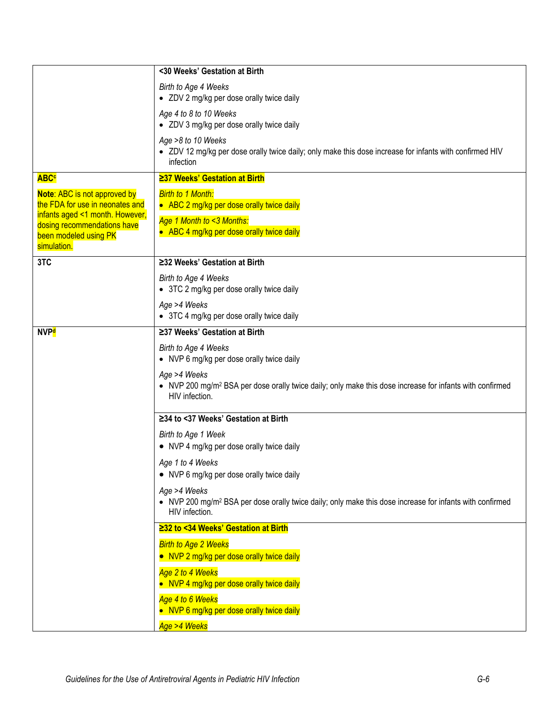|                                                                                                    | <30 Weeks' Gestation at Birth                                                                                                                          |
|----------------------------------------------------------------------------------------------------|--------------------------------------------------------------------------------------------------------------------------------------------------------|
|                                                                                                    | Birth to Age 4 Weeks<br>• ZDV 2 mg/kg per dose orally twice daily                                                                                      |
|                                                                                                    | Age 4 to 8 to 10 Weeks<br>• ZDV 3 mg/kg per dose orally twice daily                                                                                    |
|                                                                                                    | Age >8 to 10 Weeks<br>• ZDV 12 mg/kg per dose orally twice daily; only make this dose increase for infants with confirmed HIV<br>infection             |
| <b>ABC<sup>c</sup></b>                                                                             | ≥37 Weeks' Gestation at Birth                                                                                                                          |
| Note: ABC is not approved by<br>the FDA for use in neonates and<br>infants aged <1 month. However, | <b>Birth to 1 Month:</b><br>• ABC 2 mg/kg per dose orally twice daily                                                                                  |
| dosing recommendations have<br>been modeled using PK<br>simulation.                                | Age 1 Month to <3 Months:<br>• ABC 4 mg/kg per dose orally twice daily                                                                                 |
| 3TC                                                                                                | ≥32 Weeks' Gestation at Birth                                                                                                                          |
|                                                                                                    | Birth to Age 4 Weeks<br>• 3TC 2 mg/kg per dose orally twice daily                                                                                      |
|                                                                                                    | Age >4 Weeks<br>• 3TC 4 mg/kg per dose orally twice daily                                                                                              |
| <b>NVP<sup>d</sup></b>                                                                             | ≥37 Weeks' Gestation at Birth                                                                                                                          |
|                                                                                                    | Birth to Age 4 Weeks<br>• NVP 6 mg/kg per dose orally twice daily                                                                                      |
|                                                                                                    | Age >4 Weeks<br>• NVP 200 mg/m <sup>2</sup> BSA per dose orally twice daily; only make this dose increase for infants with confirmed<br>HIV infection. |
|                                                                                                    | ≥34 to <37 Weeks' Gestation at Birth                                                                                                                   |
|                                                                                                    | Birth to Age 1 Week                                                                                                                                    |
|                                                                                                    | • NVP 4 mg/kg per dose orally twice daily                                                                                                              |
|                                                                                                    | Age 1 to 4 Weeks<br>• NVP 6 mg/kg per dose orally twice daily                                                                                          |
|                                                                                                    | Age >4 Weeks<br>• NVP 200 mg/m <sup>2</sup> BSA per dose orally twice daily; only make this dose increase for infants with confirmed<br>HIV infection. |
|                                                                                                    | ≥32 to <34 Weeks' Gestation at Birth                                                                                                                   |
|                                                                                                    | <b>Birth to Age 2 Weeks</b>                                                                                                                            |
|                                                                                                    | • NVP 2 mg/kg per dose orally twice daily                                                                                                              |
|                                                                                                    | Age 2 to 4 Weeks<br>• NVP 4 mg/kg per dose orally twice daily                                                                                          |
|                                                                                                    | Age 4 to 6 Weeks                                                                                                                                       |
|                                                                                                    | • NVP 6 mg/kg per dose orally twice daily<br>Age >4 Weeks                                                                                              |
|                                                                                                    |                                                                                                                                                        |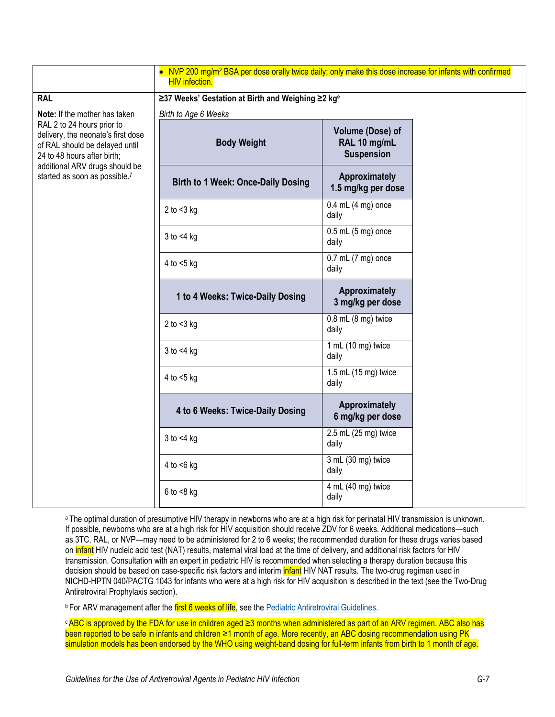|                                                                                                                                                                                                                                       | • NVP 200 mg/m <sup>2</sup> BSA per dose orally twice daily; only make this dose increase for infants with confirmed<br><b>HIV</b> infection. |                                                       |  |  |  |
|---------------------------------------------------------------------------------------------------------------------------------------------------------------------------------------------------------------------------------------|-----------------------------------------------------------------------------------------------------------------------------------------------|-------------------------------------------------------|--|--|--|
| <b>RAL</b>                                                                                                                                                                                                                            | ≥37 Weeks' Gestation at Birth and Weighing ≥2 kg <sup>e</sup>                                                                                 |                                                       |  |  |  |
| Note: If the mother has taken<br>RAL 2 to 24 hours prior to<br>delivery, the neonate's first dose<br>of RAL should be delayed until<br>24 to 48 hours after birth;<br>additional ARV drugs should be<br>started as soon as possible.7 | Birth to Age 6 Weeks                                                                                                                          |                                                       |  |  |  |
|                                                                                                                                                                                                                                       | <b>Body Weight</b>                                                                                                                            | Volume (Dose) of<br>RAL 10 mg/mL<br><b>Suspension</b> |  |  |  |
|                                                                                                                                                                                                                                       | <b>Birth to 1 Week: Once-Daily Dosing</b>                                                                                                     | Approximately<br>1.5 mg/kg per dose                   |  |  |  |
|                                                                                                                                                                                                                                       | 2 to $<$ 3 kg                                                                                                                                 | $0.4$ mL $(4$ mg) once<br>daily                       |  |  |  |
|                                                                                                                                                                                                                                       | $3$ to $<$ 4 kg                                                                                                                               | $0.5$ mL $(5$ mg) once<br>daily                       |  |  |  |
|                                                                                                                                                                                                                                       | 4 to $<$ 5 kg                                                                                                                                 | $0.7$ mL $(7$ mg) once<br>daily                       |  |  |  |
|                                                                                                                                                                                                                                       | 1 to 4 Weeks: Twice-Daily Dosing                                                                                                              | Approximately<br>3 mg/kg per dose                     |  |  |  |
|                                                                                                                                                                                                                                       | 2 to $<$ 3 kg                                                                                                                                 | $0.8$ mL $(8$ mg) twice<br>daily                      |  |  |  |
|                                                                                                                                                                                                                                       | $3$ to $<$ 4 kg                                                                                                                               | 1 mL (10 mg) twice<br>daily                           |  |  |  |
|                                                                                                                                                                                                                                       | 4 to $<$ 5 kg                                                                                                                                 | 1.5 mL (15 mg) twice<br>daily                         |  |  |  |
|                                                                                                                                                                                                                                       | 4 to 6 Weeks: Twice-Daily Dosing                                                                                                              | Approximately<br>6 mg/kg per dose                     |  |  |  |
|                                                                                                                                                                                                                                       | $3$ to $<$ 4 kg                                                                                                                               | 2.5 mL (25 mg) twice<br>daily                         |  |  |  |
|                                                                                                                                                                                                                                       | 4 to $<$ 6 kg                                                                                                                                 | 3 mL (30 mg) twice<br>daily                           |  |  |  |
|                                                                                                                                                                                                                                       | $6$ to $<8$ kg                                                                                                                                | 4 mL (40 mg) twice<br>daily                           |  |  |  |

a The optimal duration of presumptive HIV therapy in newborns who are at a high risk for perinatal HIV transmission is unknown. If possible, newborns who are at a high risk for HIV acquisition should receive ZDV for 6 weeks. Additional medications—such as 3TC, RAL, or NVP—may need to be administered for 2 to 6 weeks; the recommended duration for these drugs varies based on infant HIV nucleic acid test (NAT) results, maternal viral load at the time of delivery, and additional risk factors for HIV transmission. Consultation with an expert in pediatric HIV is recommended when selecting a therapy duration because this decision should be based on case-specific risk factors and interim *infant* HIV NAT results. The two-drug regimen used in NICHD-HPTN 040/PACTG 1043 for infants who were at a high risk for HIV acquisition is described in the text (see the Two-Drug Antiretroviral Prophylaxis section).

**b For ARV management after the first 6 weeks of life**, see the [Pediatric Antiretroviral Guidelines.](https://clinicalinfo.hiv.gov/en/guidelines/pediatric-arv/regimens-recommended-initial-therapy-antiretroviral-naive-children?view=full)

<sup>c</sup>ABC is approved by the FDA for use in children aged ≥3 months when administered as part of an ARV regimen. ABC also has been reported to be safe in infants and children ≥1 month of age. More recently, an ABC dosing recommendation using PK simulation models has been endorsed by the WHO using weight-band dosing for full-term infants from birth to 1 month of age.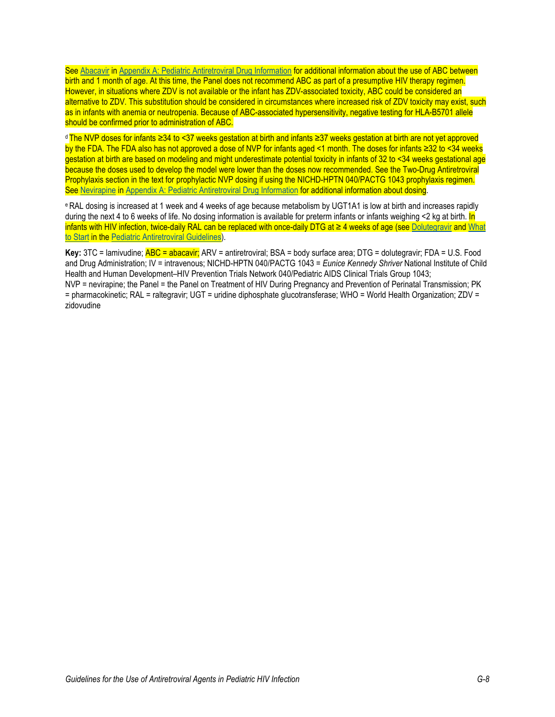See [Abacavir](https://clinicalinfo.hiv.gov/en/guidelines/pediatric-arv/abacavir?view=full) i[n Appendix A: Pediatric Antiretroviral Drug Information](https://clinicalinfo.hiv.gov/en/guidelines/pediatric-arv/overview-0?view=full) for additional information about the use of ABC between birth and 1 month of age. At this time, the Panel does not recommend ABC as part of a presumptive HIV therapy regimen. However, in situations where ZDV is not available or the infant has ZDV-associated toxicity, ABC could be considered an alternative to ZDV. This substitution should be considered in circumstances where increased risk of ZDV toxicity may exist, such as in infants with anemia or neutropenia. Because of ABC-associated hypersensitivity, negative testing for HLA-B5701 allele should be confirmed prior to administration of ABC.

d The NVP doses for infants ≥34 to <37 weeks gestation at birth and infants ≥37 weeks gestation at birth are not yet approved by the FDA. The FDA also has not approved a dose of NVP for infants aged <1 month. The doses for infants ≥32 to <34 weeks gestation at birth are based on modeling and might underestimate potential toxicity in infants of 32 to <34 weeks gestational age because the doses used to develop the model were lower than the doses now recommended. See the Two-Drug Antiretroviral Prophylaxis section in the text for prophylactic NVP dosing if using the NICHD-HPTN 040/PACTG 1043 prophylaxis regimen. See [Nevirapine](https://clinicalinfo.hiv.gov/en/guidelines/pediatric-arv/nevirapine?view=full) in [Appendix A: Pediatric Antiretroviral Drug Information](https://clinicalinfo.hiv.gov/en/guidelines/pediatric-arv/overview-0?view=full) for additional information about dosing.

e RAL dosing is increased at 1 week and 4 weeks of age because metabolism by UGT1A1 is low at birth and increases rapidly during the next 4 to 6 weeks of life. No dosing information is available for preterm infants or infants weighing <2 kg at birth. In infants with HIV infection, twice-daily RAL can be replaced with once-daily DTG at ≥ 4 weeks of age (se[e Dolutegravir](https://clinicalinfo.hiv.gov/en/guidelines/pediatric-arv/dolutegravir?view=full) and [What](https://clinicalinfo.hiv.gov/en/guidelines/pediatric-arv/regimens-recommended-initial-therapy-antiretroviral-naive-children?view=full)  [to Start](https://clinicalinfo.hiv.gov/en/guidelines/pediatric-arv/regimens-recommended-initial-therapy-antiretroviral-naive-children?view=full) in the [Pediatric Antiretroviral Guidelines\).](https://clinicalinfo.hiv.gov/en/guidelines/pediatric-arv/whats-new-guidelines?view=full)

**Key:** 3TC = lamivudine; ABC = abacavir; ARV = antiretroviral; BSA = body surface area; DTG = dolutegravir; FDA = U.S. Food and Drug Administration; IV = intravenous; NICHD-HPTN 040/PACTG 1043 = *Eunice Kennedy Shriver* National Institute of Child Health and Human Development–HIV Prevention Trials Network 040/Pediatric AIDS Clinical Trials Group 1043; NVP = nevirapine; the Panel = the Panel on Treatment of HIV During Pregnancy and Prevention of Perinatal Transmission; PK = pharmacokinetic; RAL = raltegravir; UGT = uridine diphosphate glucotransferase; WHO = World Health Organization; ZDV = zidovudine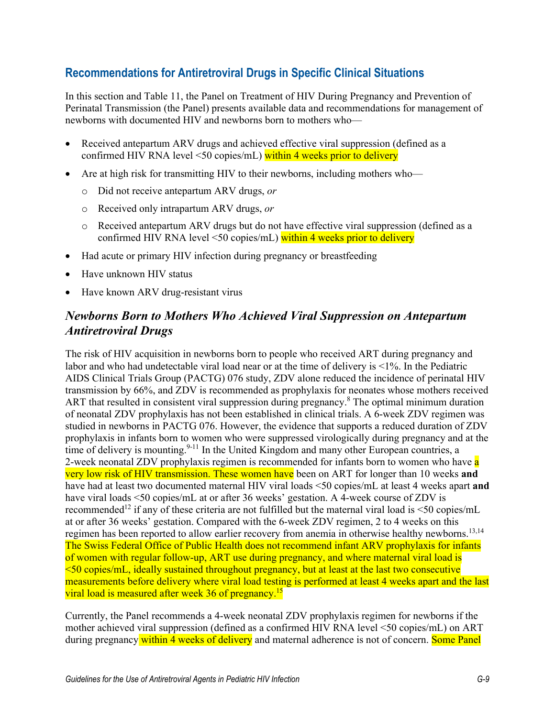## **Recommendations for Antiretroviral Drugs in Specific Clinical Situations**

In this section and Table 11, the Panel on Treatment of HIV During Pregnancy and Prevention of Perinatal Transmission (the Panel) presents available data and recommendations for management of newborns with documented HIV and newborns born to mothers who—

- Received antepartum ARV drugs and achieved effective viral suppression (defined as a confirmed HIV RNA level <50 copies/mL) within 4 weeks prior to delivery
- Are at high risk for transmitting HIV to their newborns, including mothers who
	- o Did not receive antepartum ARV drugs, *or*
	- o Received only intrapartum ARV drugs, *or*
	- o Received antepartum ARV drugs but do not have effective viral suppression (defined as a confirmed HIV RNA level <50 copies/mL) within 4 weeks prior to delivery
- Had acute or primary HIV infection during pregnancy or breastfeeding
- Have unknown HIV status
- Have known ARV drug-resistant virus

## *Newborns Born to Mothers Who Achieved Viral Suppression on Antepartum Antiretroviral Drugs*

The risk of HIV acquisition in newborns born to people who received ART during pregnancy and labor and who had undetectable viral load near or at the time of delivery is <1%. In the Pediatric AIDS Clinical Trials Group (PACTG) 076 study, ZDV alone reduced the incidence of perinatal HIV transmission by 66%, and ZDV is recommended as prophylaxis for neonates whose mothers received ART that resulted in consistent viral suppression during pregnancy.<sup>8</sup> The optimal minimum duration of neonatal ZDV prophylaxis has not been established in clinical trials. A 6-week ZDV regimen was studied in newborns in PACTG 076. However, the evidence that supports a reduced duration of ZDV prophylaxis in infants born to women who were suppressed virologically during pregnancy and at the time of delivery is mounting.<sup>9-11</sup> In the United Kingdom and many other European countries, a 2-week neonatal ZDV prophylaxis regimen is recommended for infants born to women who have a very low risk of HIV transmission. These women have been on ART for longer than 10 weeks **and** have had at least two documented maternal HIV viral loads <50 copies/mL at least 4 weeks apart **and** have viral loads <50 copies/mL at or after 36 weeks' gestation. A 4-week course of ZDV is recommended<sup>12</sup> if any of these criteria are not fulfilled but the maternal viral load is  $\leq 50$  copies/mL at or after 36 weeks' gestation. Compared with the 6-week ZDV regimen, 2 to 4 weeks on this regimen has been reported to allow earlier recovery from anemia in otherwise healthy newborns.<sup>[13,](#page-18-1)[14](#page-18-2)</sup> The Swiss Federal Office of Public Health does not recommend infant ARV prophylaxis for infants of women with regular follow-up, ART use during pregnancy, and where maternal viral load is  $\leq 50$  copies/mL, ideally sustained throughout pregnancy, but at least at the last two consecutive measurements before delivery where viral load testing is performed at least 4 weeks apart and the last viral load is measured after week 36 of pregnancy.<sup>[15](#page-18-3)</sup>

Currently, the Panel recommends a 4-week neonatal ZDV prophylaxis regimen for newborns if the mother achieved viral suppression (defined as a confirmed HIV RNA level <50 copies/mL) on ART during pregnancy within 4 weeks of delivery and maternal adherence is not of concern. Some Panel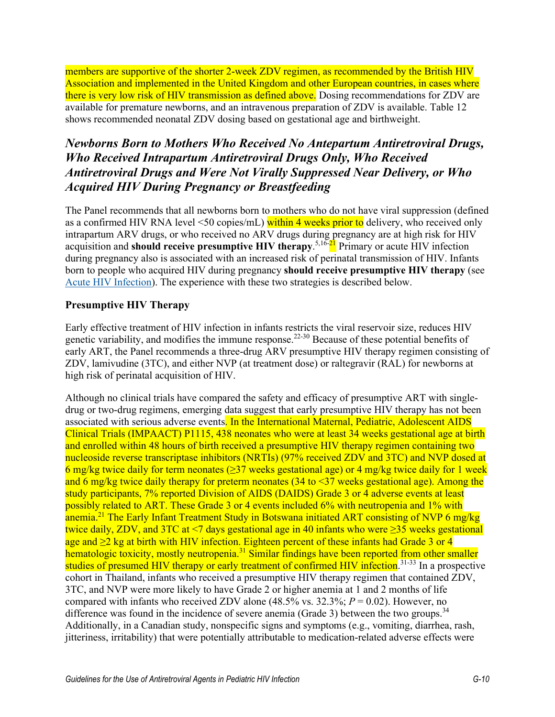members are supportive of the shorter 2-week ZDV regimen, as recommended by the British HIV Association and implemented in the United Kingdom and other European countries, in cases where there is very low risk of HIV transmission as defined above. Dosing recommendations for ZDV are available for premature newborns, and an intravenous preparation of ZDV is available. Table 12 shows recommended neonatal ZDV dosing based on gestational age and birthweight.

# *Newborns Born to Mothers Who Received No Antepartum Antiretroviral Drugs, Who Received Intrapartum Antiretroviral Drugs Only, Who Received Antiretroviral Drugs and Were Not Virally Suppressed Near Delivery, or Who Acquired HIV During Pregnancy or Breastfeeding*

The Panel recommends that all newborns born to mothers who do not have viral suppression (defined as a confirmed HIV RNA level <50 copies/mL) within 4 weeks prior to delivery, who received only intrapartum ARV drugs, or who received no ARV drugs during pregnancy are at high risk for HIV acquisition and **should receive presumptive HIV therapy**. [5,](#page-17-4)[16-21](#page-18-4) Primary or acute HIV infection during pregnancy also is associated with an increased risk of perinatal transmission of HIV. Infants born to people who acquired HIV during pregnancy **should receive presumptive HIV therapy** (see [Acute HIV Infection\)](https://clinicalinfo.hiv.gov/en/guidelines/perinatal/acute-hiv-infection). The experience with these two strategies is described below.

### **Presumptive HIV Therapy**

Early effective treatment of HIV infection in infants restricts the viral reservoir size, reduces HIV genetic variability, and modifies the immune response.<sup>22-30</sup> Because of these potential benefits of early ART, the Panel recommends a three-drug ARV presumptive HIV therapy regimen consisting of ZDV, lamivudine (3TC), and either NVP (at treatment dose) or raltegravir (RAL) for newborns at high risk of perinatal acquisition of HIV.

Although no clinical trials have compared the safety and efficacy of presumptive ART with singledrug or two-drug regimens, emerging data suggest that early presumptive HIV therapy has not been associated with serious adverse events. In the International Maternal, Pediatric, Adolescent AIDS Clinical Trials (IMPAACT) P1115, 438 neonates who were at least 34 weeks gestational age at birth and enrolled within 48 hours of birth received a presumptive HIV therapy regimen containing two nucleoside reverse transcriptase inhibitors (NRTIs) (97% received ZDV and 3TC) and NVP dosed at 6 mg/kg twice daily for term neonates ( $\geq$ 37 weeks gestational age) or 4 mg/kg twice daily for 1 week and 6 mg/kg twice daily therapy for preterm neonates  $(34 \text{ to } < 37 \text{ weeks gestational age})$ . Among the study participants, 7% reported Division of AIDS (DAIDS) Grade 3 or 4 adverse events at least possibly related to ART. These Grade 3 or 4 events included 6% with neutropenia and 1% with anemia.<sup>21</sup> The Early Infant Treatment Study in Botswana initiated ART consisting of NVP 6 mg/kg twice daily, ZDV, and 3TC at <7 days gestational age in 40 infants who were  $\geq$ 35 weeks gestational age and ≥2 kg at birth with HIV infection. Eighteen percent of these infants had Grade 3 or 4 hematologic toxicity, mostly neutropenia.<sup>[31](#page-19-2)</sup> Similar findings have been reported from other smaller studies of presumed HIV therapy or early treatment of confirmed HIV infection.<sup>[31-33](#page-19-2)</sup> In a prospective cohort in Thailand, infants who received a presumptive HIV therapy regimen that contained ZDV, 3TC, and NVP were more likely to have Grade 2 or higher anemia at 1 and 2 months of life compared with infants who received ZDV alone  $(48.5\% \text{ vs. } 32.3\%; P = 0.02)$ . However, no difference was found in the incidence of severe anemia (Grade 3) between the two groups.<sup>[34](#page-20-0)</sup> Additionally, in a Canadian study, nonspecific signs and symptoms (e.g., vomiting, diarrhea, rash, jitteriness, irritability) that were potentially attributable to medication-related adverse effects were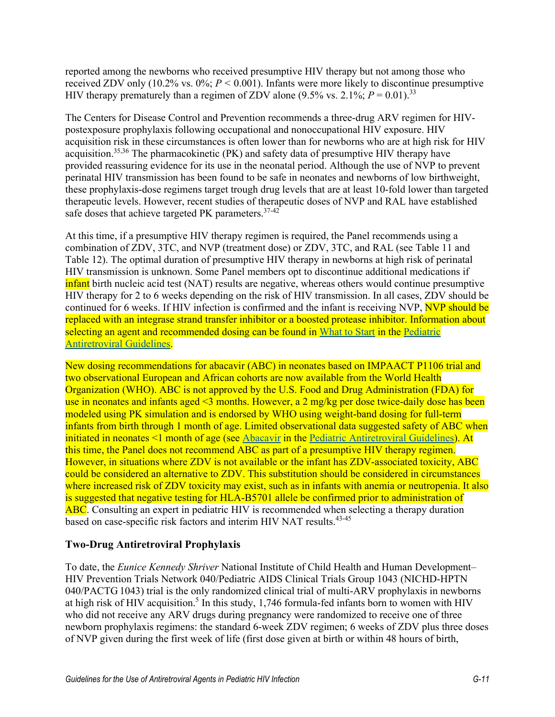reported among the newborns who received presumptive HIV therapy but not among those who received ZDV only  $(10.2\% \text{ vs. } 0\%; P \le 0.001)$ . Infants were more likely to discontinue presumptive HIV therapy prematurely than a regimen of ZDV alone  $(9.5\% \text{ vs. } 2.1\%; P = 0.01).^{33}$  $(9.5\% \text{ vs. } 2.1\%; P = 0.01).^{33}$  $(9.5\% \text{ vs. } 2.1\%; P = 0.01).^{33}$ 

The Centers for Disease Control and Prevention recommends a three-drug ARV regimen for HIVpostexposure prophylaxis following occupational and nonoccupational HIV exposure. HIV acquisition risk in these circumstances is often lower than for newborns who are at high risk for HIV acquisition[.35,](#page-20-2)[36](#page-20-3) The pharmacokinetic (PK) and safety data of presumptive HIV therapy have provided reassuring evidence for its use in the neonatal period. Although the use of NVP to prevent perinatal HIV transmission has been found to be safe in neonates and newborns of low birthweight, these prophylaxis-dose regimens target trough drug levels that are at least 10-fold lower than targeted therapeutic levels. However, recent studies of therapeutic doses of NVP and RAL have established safe doses that achieve targeted PK parameters.  $37-42$ 

At this time, if a presumptive HIV therapy regimen is required, the Panel recommends using a combination of ZDV, 3TC, and NVP (treatment dose) or ZDV, 3TC, and RAL (see Table 11 and Table 12). The optimal duration of presumptive HIV therapy in newborns at high risk of perinatal HIV transmission is unknown. Some Panel members opt to discontinue additional medications if infant birth nucleic acid test (NAT) results are negative, whereas others would continue presumptive HIV therapy for 2 to 6 weeks depending on the risk of HIV transmission. In all cases, ZDV should be continued for 6 weeks. If HIV infection is confirmed and the infant is receiving NVP, NVP should be replaced with an integrase strand transfer inhibitor or a boosted protease inhibitor. Information about selecting an agent and recommended dosing can be found in [What to Start](https://clinicalinfo.hiv.gov/en/guidelines/pediatric-arv/regimens-recommended-initial-therapy-antiretroviral-naive-children) in the Pediatric [Antiretroviral Guidelines.](https://clinicalinfo.hiv.gov/en/guidelines/pediatric-arv/whats-new-guidelines)

New dosing recommendations for abacavir (ABC) in neonates based on IMPAACT P1106 trial and two observational European and African cohorts are now available from the World Health Organization (WHO). ABC is not approved by the U.S. Food and Drug Administration (FDA) for use in neonates and infants aged <3 months. However, a 2 mg/kg per dose twice-daily dose has been modeled using PK simulation and is endorsed by WHO using weight-band dosing for full-term infants from birth through 1 month of age. Limited observational data suggested safety of ABC when initiated in neonates <1 month of age (see [Abacavir](https://clinicalinfo.hiv.gov/en/guidelines/pediatric-arv/abacavir?view=full) in the [Pediatric Antiretroviral Guidelines\)](https://clinicalinfo.hiv.gov/en/guidelines/pediatric-arv/whats-new-guidelines). At this time, the Panel does not recommend ABC as part of a presumptive HIV therapy regimen. However, in situations where ZDV is not available or the infant has ZDV-associated toxicity, ABC could be considered an alternative to ZDV. This substitution should be considered in circumstances where increased risk of ZDV toxicity may exist, such as in infants with anemia or neutropenia. It also is suggested that negative testing for HLA-B5701 allele be confirmed prior to administration of ABC. Consulting an expert in pediatric HIV is recommended when selecting a therapy duration based on case-specific risk factors and interim HIV NAT results.<sup>43-45</sup>

### **Two-Drug Antiretroviral Prophylaxis**

To date, the *Eunice Kennedy Shriver* National Institute of Child Health and Human Development– HIV Prevention Trials Network 040/Pediatric AIDS Clinical Trials Group 1043 (NICHD-HPTN 040/PACTG 1043) trial is the only randomized clinical trial of multi-ARV prophylaxis in newborns at high risk of HIV acquisition.<sup>5</sup> In this study, 1,746 formula-fed infants born to women with HIV who did not receive any ARV drugs during pregnancy were randomized to receive one of three newborn prophylaxis regimens: the standard 6-week ZDV regimen; 6 weeks of ZDV plus three doses of NVP given during the first week of life (first dose given at birth or within 48 hours of birth,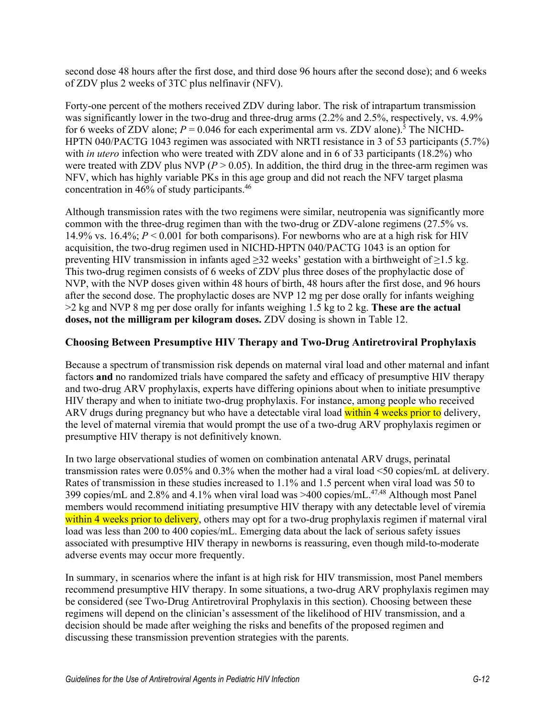second dose 48 hours after the first dose, and third dose 96 hours after the second dose); and 6 weeks of ZDV plus 2 weeks of 3TC plus nelfinavir (NFV).

Forty-one percent of the mothers received ZDV during labor. The risk of intrapartum transmission was significantly lower in the two-drug and three-drug arms (2.2% and 2.5%, respectively, vs. 4.9% for 6 weeks of ZDV alone;  $P = 0.046$  for each experimental arm vs. ZDV alone).<sup>5</sup> The NICHD-HPTN 040/PACTG 1043 regimen was associated with NRTI resistance in 3 of 53 participants (5.7%) with *in utero* infection who were treated with ZDV alone and in 6 of 33 participants (18.2%) who were treated with ZDV plus NVP ( $P > 0.05$ ). In addition, the third drug in the three-arm regimen was NFV, which has highly variable PKs in this age group and did not reach the NFV target plasma concentration in [46](#page-21-1)% of study participants.<sup>46</sup>

Although transmission rates with the two regimens were similar, neutropenia was significantly more common with the three-drug regimen than with the two-drug or ZDV-alone regimens (27.5% vs. 14.9% vs. 16.4%; *P* < 0.001 for both comparisons). For newborns who are at a high risk for HIV acquisition, the two-drug regimen used in NICHD-HPTN 040/PACTG 1043 is an option for preventing HIV transmission in infants aged ≥32 weeks' gestation with a birthweight of ≥1.5 kg. This two-drug regimen consists of 6 weeks of ZDV plus three doses of the prophylactic dose of NVP, with the NVP doses given within 48 hours of birth, 48 hours after the first dose, and 96 hours after the second dose. The prophylactic doses are NVP 12 mg per dose orally for infants weighing >2 kg and NVP 8 mg per dose orally for infants weighing 1.5 kg to 2 kg. **These are the actual doses, not the milligram per kilogram doses.** ZDV dosing is shown in Table 12.

#### **Choosing Between Presumptive HIV Therapy and Two-Drug Antiretroviral Prophylaxis**

Because a spectrum of transmission risk depends on maternal viral load and other maternal and infant factors **and** no randomized trials have compared the safety and efficacy of presumptive HIV therapy and two-drug ARV prophylaxis, experts have differing opinions about when to initiate presumptive HIV therapy and when to initiate two-drug prophylaxis. For instance, among people who received ARV drugs during pregnancy but who have a detectable viral load within 4 weeks prior to delivery, the level of maternal viremia that would prompt the use of a two-drug ARV prophylaxis regimen or presumptive HIV therapy is not definitively known.

In two large observational studies of women on combination antenatal ARV drugs, perinatal transmission rates were 0.05% and 0.3% when the mother had a viral load <50 copies/mL at delivery. Rates of transmission in these studies increased to 1.1% and 1.5 percent when viral load was 50 to 399 copies/mL and 2.8% and 4.1% when viral load was >400 copies/mL[.47,](#page-21-2)[48](#page-21-3) Although most Panel members would recommend initiating presumptive HIV therapy with any detectable level of viremia within 4 weeks prior to delivery, others may opt for a two-drug prophylaxis regimen if maternal viral load was less than 200 to 400 copies/mL. Emerging data about the lack of serious safety issues associated with presumptive HIV therapy in newborns is reassuring, even though mild-to-moderate adverse events may occur more frequently.

In summary, in scenarios where the infant is at high risk for HIV transmission, most Panel members recommend presumptive HIV therapy. In some situations, a two-drug ARV prophylaxis regimen may be considered (see Two-Drug Antiretroviral Prophylaxis in this section). Choosing between these regimens will depend on the clinician's assessment of the likelihood of HIV transmission, and a decision should be made after weighing the risks and benefits of the proposed regimen and discussing these transmission prevention strategies with the parents.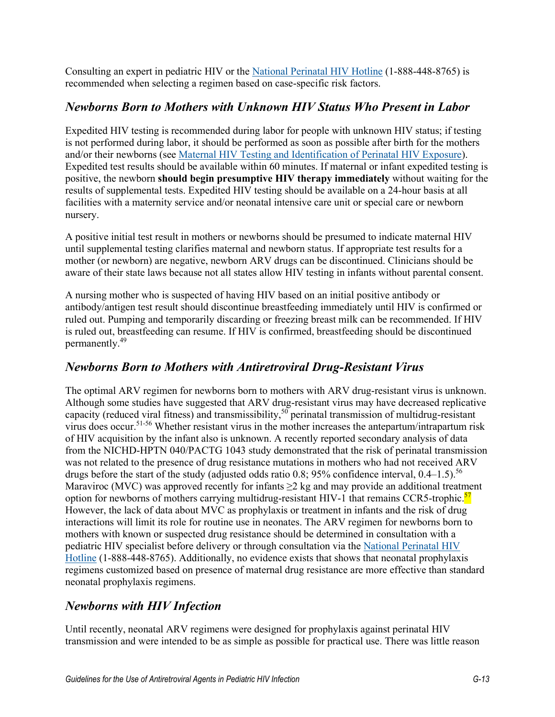Consulting an expert in pediatric HIV or the [National Perinatal HIV Hotline](http://nccc.ucsf.edu/clinician-consultation/perinatal-hiv-aids/) (1-888-448-8765) is recommended when selecting a regimen based on case-specific risk factors.

### *Newborns Born to Mothers with Unknown HIV Status Who Present in Labor*

Expedited HIV testing is recommended during labor for people with unknown HIV status; if testing is not performed during labor, it should be performed as soon as possible after birth for the mothers and/or their newborns (see [Maternal HIV Testing and Identification of Perinatal](https://clinicalinfo.hiv.gov/en/guidelines/perinatal/maternal-hiv-testing-and-identification-perinatal-hiv-exposure) HIV Exposure). Expedited test results should be available within 60 minutes. If maternal or infant expedited testing is positive, the newborn **should begin presumptive HIV therapy immediately** without waiting for the results of supplemental tests. Expedited HIV testing should be available on a 24-hour basis at all facilities with a maternity service and/or neonatal intensive care unit or special care or newborn nursery.

A positive initial test result in mothers or newborns should be presumed to indicate maternal HIV until supplemental testing clarifies maternal and newborn status. If appropriate test results for a mother (or newborn) are negative, newborn ARV drugs can be discontinued. Clinicians should be aware of their state laws because not all states allow HIV testing in infants without parental consent.

A nursing mother who is suspected of having HIV based on an initial positive antibody or antibody/antigen test result should discontinue breastfeeding immediately until HIV is confirmed or ruled out. Pumping and temporarily discarding or freezing breast milk can be recommended. If HIV is ruled out, breastfeeding can resume. If HIV is confirmed, breastfeeding should be discontinued permanently[.49](#page-21-4)

## *Newborns Born to Mothers with Antiretroviral Drug-Resistant Virus*

The optimal ARV regimen for newborns born to mothers with ARV drug-resistant virus is unknown. Although some studies have suggested that ARV drug-resistant virus may have decreased replicative capacity (reduced viral fitness) and transmissibility,<sup>[50](#page-21-5)</sup> perinatal transmission of multidrug-resistant virus does occur[.51-56](#page-21-6) Whether resistant virus in the mother increases the antepartum/intrapartum risk of HIV acquisition by the infant also is unknown. A recently reported secondary analysis of data from the NICHD-HPTN 040/PACTG 1043 study demonstrated that the risk of perinatal transmission was not related to the presence of drug resistance mutations in mothers who had not received ARV drugs before the start of the study (adjusted odds ratio 0.8; 95% confidence interval,  $0.4-1.5$ ).<sup>56</sup> Maraviroc (MVC) was approved recently for infants  $\geq 2$  kg and may provide an additional treatment option for newborns of mothers carrying multidrug-resistant HIV-1 that remains CCR5-trophic.<sup>[57](#page-22-1)</sup> However, the lack of data about MVC as prophylaxis or treatment in infants and the risk of drug interactions will limit its role for routine use in neonates. The ARV regimen for newborns born to mothers with known or suspected drug resistance should be determined in consultation with a pediatric HIV specialist before delivery or through consultation via the [National Perinatal HIV](http://nccc.ucsf.edu/clinician-consultation/perinatal-hiv-aids/)  [Hotline](http://nccc.ucsf.edu/clinician-consultation/perinatal-hiv-aids/) (1-888-448-8765). Additionally, no evidence exists that shows that neonatal prophylaxis regimens customized based on presence of maternal drug resistance are more effective than standard neonatal prophylaxis regimens.

## *Newborns with HIV Infection*

Until recently, neonatal ARV regimens were designed for prophylaxis against perinatal HIV transmission and were intended to be as simple as possible for practical use. There was little reason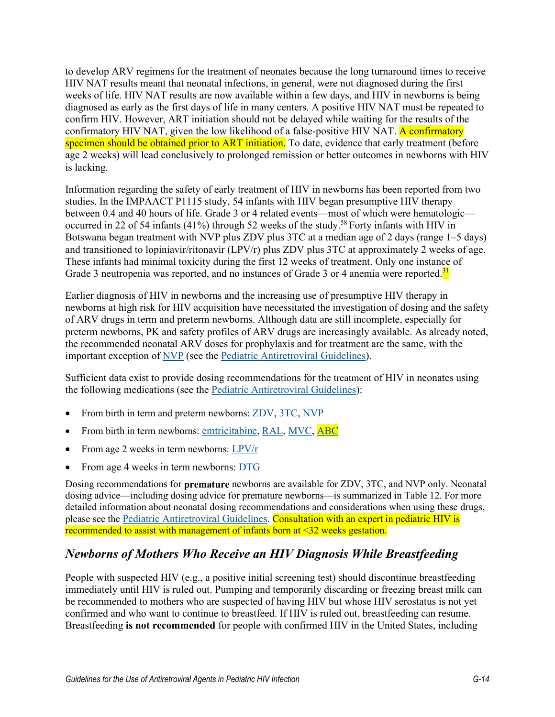to develop ARV regimens for the treatment of neonates because the long turnaround times to receive HIV NAT results meant that neonatal infections, in general, were not diagnosed during the first weeks of life. HIV NAT results are now available within a few days, and HIV in newborns is being diagnosed as early as the first days of life in many centers. A positive HIV NAT must be repeated to confirm HIV. However, ART initiation should not be delayed while waiting for the results of the confirmatory HIV NAT, given the low likelihood of a false-positive HIV NAT. A confirmatory specimen should be obtained prior to ART initiation. To date, evidence that early treatment (before age 2 weeks) will lead conclusively to prolonged remission or better outcomes in newborns with HIV is lacking.

Information regarding the safety of early treatment of HIV in newborns has been reported from two studies. In the IMPAACT P1115 study, 54 infants with HIV began presumptive HIV therapy between 0.4 and 40 hours of life. Grade 3 or 4 related events—most of which were hematologic— occurred in 22 of 54 infants (41%) through 52 weeks of the study.<sup>[58](#page-22-2)</sup> Forty infants with HIV in Botswana began treatment with NVP plus ZDV plus 3TC at a median age of 2 days (range 1–5 days) and transitioned to lopiniavir/ritonavir (LPV/r) plus ZDV plus 3TC at approximately 2 weeks of age. These infants had minimal toxicity during the first 12 weeks of treatment. Only one instance of Grade 3 neutropenia was reported, and no instances of Grade 3 or 4 anemia were reported.<sup>[31](#page-19-2)</sup>

Earlier diagnosis of HIV in newborns and the increasing use of presumptive HIV therapy in newborns at high risk for HIV acquisition have necessitated the investigation of dosing and the safety of ARV drugs in term and preterm newborns. Although data are still incomplete, especially for preterm newborns, PK and safety profiles of ARV drugs are increasingly available. As already noted, the recommended neonatal ARV doses for prophylaxis and for treatment are the same, with the important exception of [NVP](https://clinicalinfo.hiv.gov/en/guidelines/pediatric-arv/nevirapine) (see the [Pediatric Antiretroviral Guidelines\)](https://clinicalinfo.hiv.gov/en/guidelines/pediatric-arv/whats-new-guidelines).

Sufficient data exist to provide dosing recommendations for the treatment of HIV in neonates using the following medications (see the [Pediatric Antiretroviral Guidelines\)](https://clinicalinfo.hiv.gov/en/guidelines/pediatric-arv/whats-new-guidelines):

- From birth in term and preterm newborns: [ZDV,](https://clinicalinfo.hiv.gov/en/guidelines/pediatric-arv/zidovudine) [3TC,](https://clinicalinfo.hiv.gov/en/guidelines/pediatric-arv/lamivudine) [NVP](https://clinicalinfo.hiv.gov/en/guidelines/pediatric-arv/nevirapine)
- From birth in term newborns: [emtricitabine,](https://clinicalinfo.hiv.gov/en/guidelines/pediatric-arv/emtricitabine) [RAL,](https://clinicalinfo.hiv.gov/en/guidelines/pediatric-arv/raltegravir?view=full) [MVC,](https://clinicalinfo.hiv.gov/en/guidelines/pediatric-arv/maraviroc?view=full) [ABC](https://clinicalinfo.hiv.gov/en/guidelines/pediatric-arv/abacavir?view=full)
- From age 2 weeks in term newborns: [LPV/r](https://clinicalinfo.hiv.gov/en/guidelines/pediatric-arv/lopinavirritonavir?view=full)
- From age 4 weeks in term newborns: [DTG](https://clinicalinfo.hiv.gov/en/guidelines/pediatric-arv/dolutegravir?view=full)

Dosing recommendations for **premature** newborns are available for ZDV, 3TC, and NVP only. Neonatal dosing advice—including dosing advice for premature newborns—is summarized in Table 12. For more detailed information about neonatal dosing recommendations and considerations when using these drugs, please see the [Pediatric Antiretroviral Guidelines.](https://clinicalinfo.hiv.gov/en/guidelines/pediatric-arv/whats-new-guidelines) Consultation with an expert in pediatric HIV is recommended to assist with management of infants born at <32 weeks gestation.

# *Newborns of Mothers Who Receive an HIV Diagnosis While Breastfeeding*

People with suspected HIV (e.g., a positive initial screening test) should discontinue breastfeeding immediately until HIV is ruled out. Pumping and temporarily discarding or freezing breast milk can be recommended to mothers who are suspected of having HIV but whose HIV serostatus is not yet confirmed and who want to continue to breastfeed. If HIV is ruled out, breastfeeding can resume. Breastfeeding **is not recommended** for people with confirmed HIV in the United States, including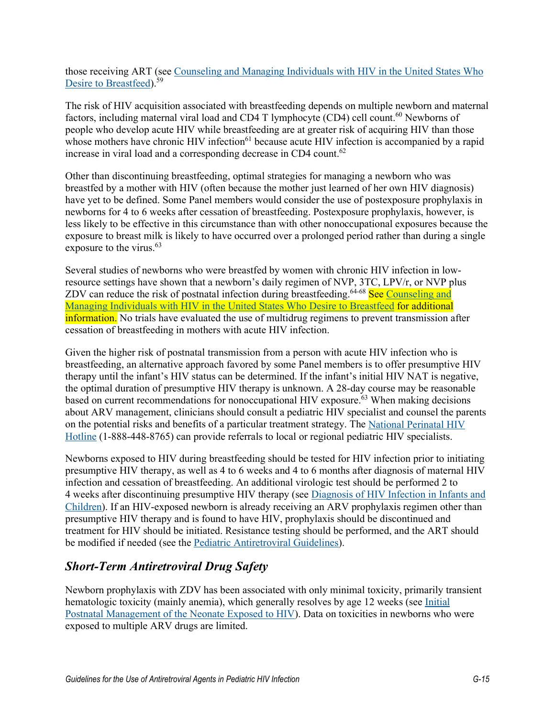those receiving ART (see [Counseling and Managing Individuals](https://clinicalinfo.hiv.gov/en/guidelines/perinatal/counseling-and-managing-women-living-hiv-united-states-who-desire-breastfeed) with HIV in the United States Who [Desire to Breastfeed\)](https://clinicalinfo.hiv.gov/en/guidelines/perinatal/counseling-and-managing-women-living-hiv-united-states-who-desire-breastfeed).<sup>[59](#page-22-3)</sup>

The risk of HIV acquisition associated with breastfeeding depends on multiple newborn and maternal factors, including maternal viral load and CD4 T lymphocyte (CD4) cell count.<sup>[60](#page-22-4)</sup> Newborns of people who develop acute HIV while breastfeeding are at greater risk of acquiring HIV than those whose mothers have chronic HIV infection<sup>61</sup> because acute HIV infection is accompanied by a rapid increase in viral load and a corresponding decrease in CD4 count.<sup>[62](#page-22-6)</sup>

Other than discontinuing breastfeeding, optimal strategies for managing a newborn who was breastfed by a mother with HIV (often because the mother just learned of her own HIV diagnosis) have yet to be defined. Some Panel members would consider the use of postexposure prophylaxis in newborns for 4 to 6 weeks after cessation of breastfeeding. Postexposure prophylaxis, however, is less likely to be effective in this circumstance than with other nonoccupational exposures because the exposure to breast milk is likely to have occurred over a prolonged period rather than during a single exposure to the virus. [63](#page-22-7)

Several studies of newborns who were breastfed by women with chronic HIV infection in lowresource settings have shown that a newborn's daily regimen of NVP, 3TC, LPV/r, or NVP plus ZDV can reduce the risk of postnatal infection during breastfeeding.<sup>64-68</sup> See Counseling and Managing Individuals [with HIV in the United States Who Desire](https://clinicalinfo.hiv.gov/en/guidelines/perinatal/counseling-and-managing-women-living-hiv-united-states-who-desire-breastfeed?view=full) to Breastfeed for additional information. No trials have evaluated the use of multidrug regimens to prevent transmission after cessation of breastfeeding in mothers with acute HIV infection.

Given the higher risk of postnatal transmission from a person with acute HIV infection who is breastfeeding, an alternative approach favored by some Panel members is to offer presumptive HIV therapy until the infant's HIV status can be determined. If the infant's initial HIV NAT is negative, the optimal duration of presumptive HIV therapy is unknown. A 28-day course may be reasonable based on current recommendations for nonoccupational HIV exposure.<sup>[63](#page-22-7)</sup> When making decisions about ARV management, clinicians should consult a pediatric HIV specialist and counsel the parents on the potential risks and benefits of a particular treatment strategy. The [National Perinatal HIV](http://nccc.ucsf.edu/clinician-consultation/perinatal-hiv-aids/)  [Hotline](http://nccc.ucsf.edu/clinician-consultation/perinatal-hiv-aids/) (1-888-448-8765) can provide referrals to local or regional pediatric HIV specialists.

Newborns exposed to HIV during breastfeeding should be tested for HIV infection prior to initiating presumptive HIV therapy, as well as 4 to 6 weeks and 4 to 6 months after diagnosis of maternal HIV infection and cessation of breastfeeding. An additional virologic test should be performed 2 to 4 weeks after discontinuing presumptive HIV therapy (see Diagnosis [of HIV Infection in Infants and](https://clinicalinfo.hiv.gov/en/guidelines/perinatal/diagnosis-hiv-infection-infants-and-children)  [Children\)](https://clinicalinfo.hiv.gov/en/guidelines/perinatal/diagnosis-hiv-infection-infants-and-children). If an HIV-exposed newborn is already receiving an ARV prophylaxis regimen other than presumptive HIV therapy and is found to have HIV, prophylaxis should be discontinued and treatment for HIV should be initiated. Resistance testing should be performed, and the ART should be modified if needed (see the [Pediatric Antiretroviral Guidelines\)](https://clinicalinfo.hiv.gov/en/guidelines/pediatric-arv/whats-new-guidelines).

# *Short-Term Antiretroviral Drug Safety*

Newborn prophylaxis with ZDV has been associated with only minimal toxicity, primarily transient hematologic toxicity (mainly anemia), which generally resolves by age 12 weeks (see [Initial](https://clinicalinfo.hiv.gov/en/guidelines/perinatal/initial-postnatal-management-neonate-exposed-hiv)  Postnatal Management [of the Neonate Exposed to HIV\)](https://clinicalinfo.hiv.gov/en/guidelines/perinatal/initial-postnatal-management-neonate-exposed-hiv). Data on toxicities in newborns who were exposed to multiple ARV drugs are limited.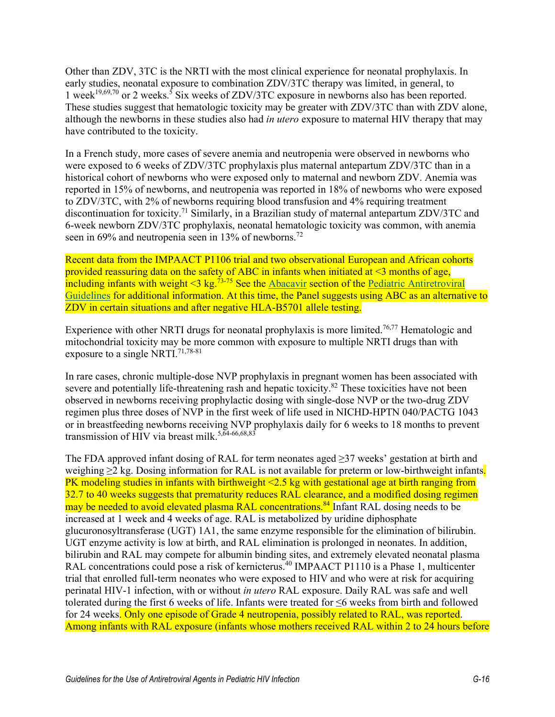Other than ZDV, 3TC is the NRTI with the most clinical experience for neonatal prophylaxis. In early studies, neonatal exposure to combination ZDV/3TC therapy was limited, in general, to 1 week<sup>19,[69,](#page-23-0)[70](#page-23-1)</sup> or 2 weeks.<sup>5</sup> Six weeks of ZDV/3TC exposure in newborns also has been reported. These studies suggest that hematologic toxicity may be greater with ZDV/3TC than with ZDV alone, although the newborns in these studies also had *in utero* exposure to maternal HIV therapy that may have contributed to the toxicity.

In a French study, more cases of severe anemia and neutropenia were observed in newborns who were exposed to 6 weeks of ZDV/3TC prophylaxis plus maternal antepartum ZDV/3TC than in a historical cohort of newborns who were exposed only to maternal and newborn ZDV. Anemia was reported in 15% of newborns, and neutropenia was reported in 18% of newborns who were exposed to ZDV/3TC, with 2% of newborns requiring blood transfusion and 4% requiring treatment discontinuation for toxicity[.71](#page-23-2) Similarly, in a Brazilian study of maternal antepartum ZDV/3TC and 6-week newborn ZDV/3TC prophylaxis, neonatal hematologic toxicity was common, with anemia seen in 69% and neutropenia seen in 13% of newborns.<sup>[72](#page-23-3)</sup>

Recent data from the IMPAACT P1106 trial and two observational European and African cohorts provided reassuring data on the safety of ABC in infants when initiated at  $\leq$ 3 months of age, including infants with weight <3 kg.<sup>73-75</sup> See the [Abacavir](https://clinicalinfo.hiv.gov/en/guidelines/pediatric-arv/abacavir?view=full) section of the Pediatric Antiretroviral [Guidelines](https://clinicalinfo.hiv.gov/en/guidelines/pediatric-arv/whats-new-guidelines?view=full) for additional information. At this time, the Panel suggests using ABC as an alternative to ZDV in certain situations and after negative HLA-B5701 allele testing.

Experience with other NRTI drugs for neonatal prophylaxis is more limited.<sup>76,[77](#page-24-0)</sup> Hematologic and mitochondrial toxicity may be more common with exposure to multiple NRTI drugs than with exposure to a single NRTI.<sup>[71,](#page-23-2)[78-81](#page-24-1)</sup>

In rare cases, chronic multiple-dose NVP prophylaxis in pregnant women has been associated with severe and potentially life-threatening rash and hepatic toxicity.<sup>82</sup> These toxicities have not been observed in newborns receiving prophylactic dosing with single-dose NVP or the two-drug ZDV regimen plus three doses of NVP in the first week of life used in NICHD-HPTN 040/PACTG 1043 or in breastfeeding newborns receiving NVP prophylaxis daily for 6 weeks to 18 months to prevent transmission of HIV via breast milk.<sup>5,[64-66](#page-22-8)[,68,](#page-23-6)[83](#page-24-3)</sup>

The FDA approved infant dosing of RAL for term neonates aged ≥37 weeks' gestation at birth and weighing  $\geq 2$  kg. Dosing information for RAL is not available for preterm or low-birthweight infants. PK modeling studies in infants with birthweight <2.5 kg with gestational age at birth ranging from 32.7 to 40 weeks suggests that prematurity reduces RAL clearance, and a modified dosing regimen may be needed to avoid elevated plasma RAL concentrations.<sup>[84](#page-24-4)</sup> Infant RAL dosing needs to be increased at 1 week and 4 weeks of age. RAL is metabolized by uridine diphosphate glucuronosyltransferase (UGT) 1A1, the same enzyme responsible for the elimination of bilirubin. UGT enzyme activity is low at birth, and RAL elimination is prolonged in neonates. In addition, bilirubin and RAL may compete for albumin binding sites, and extremely elevated neonatal plasma RAL concentrations could pose a risk of kernicterus.<sup>[40](#page-20-5)</sup> IMPAACT P1110 is a Phase 1, multicenter trial that enrolled full-term neonates who were exposed to HIV and who were at risk for acquiring perinatal HIV-1 infection, with or without *in utero* RAL exposure. Daily RAL was safe and well tolerated during the first 6 weeks of life. Infants were treated for ≤6 weeks from birth and followed for 24 weeks. Only one episode of Grade 4 neutropenia, possibly related to RAL, was reported. Among infants with RAL exposure (infants whose mothers received RAL within 2 to 24 hours before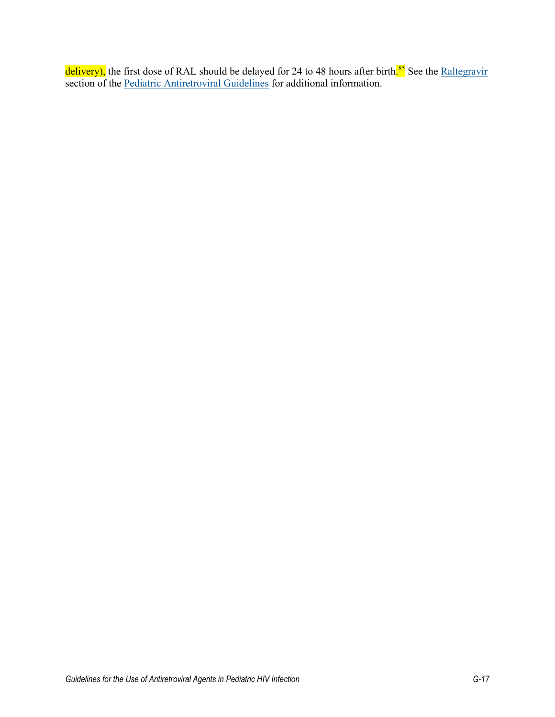delivery), the first dose of RAL should be delayed for 24 to 48 hours after birth<mark>.<sup>[85](#page-24-5)</sup></mark> See the <u>Raltegravir</u> section of the [Pediatric Antiretroviral Guidelines](https://clinicalinfo.hiv.gov/en/guidelines/pediatric-arv/whats-new-guidelines?view=full) for additional information.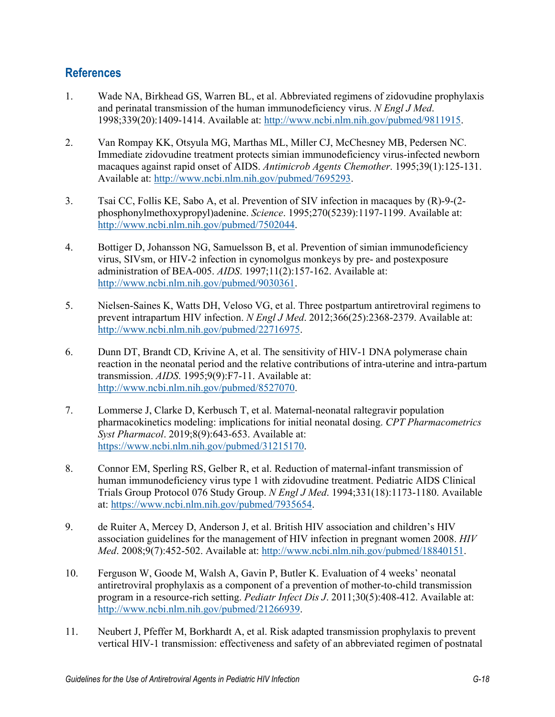### **References**

- <span id="page-17-0"></span>1. Wade NA, Birkhead GS, Warren BL, et al. Abbreviated regimens of zidovudine prophylaxis and perinatal transmission of the human immunodeficiency virus. *N Engl J Med*. 1998;339(20):1409-1414. Available at: [http://www.ncbi.nlm.nih.gov/pubmed/9811915.](http://www.ncbi.nlm.nih.gov/pubmed/9811915)
- 2. Van Rompay KK, Otsyula MG, Marthas ML, Miller CJ, McChesney MB, Pedersen NC. Immediate zidovudine treatment protects simian immunodeficiency virus-infected newborn macaques against rapid onset of AIDS. *Antimicrob Agents Chemother*. 1995;39(1):125-131. Available at: [http://www.ncbi.nlm.nih.gov/pubmed/7695293.](http://www.ncbi.nlm.nih.gov/pubmed/7695293)
- 3. Tsai CC, Follis KE, Sabo A, et al. Prevention of SIV infection in macaques by (R)-9-(2 phosphonylmethoxypropyl)adenine. *Science*. 1995;270(5239):1197-1199. Available at: [http://www.ncbi.nlm.nih.gov/pubmed/7502044.](http://www.ncbi.nlm.nih.gov/pubmed/7502044)
- 4. Bottiger D, Johansson NG, Samuelsson B, et al. Prevention of simian immunodeficiency virus, SIVsm, or HIV-2 infection in cynomolgus monkeys by pre- and postexposure administration of BEA-005. *AIDS*. 1997;11(2):157-162. Available at: [http://www.ncbi.nlm.nih.gov/pubmed/9030361.](http://www.ncbi.nlm.nih.gov/pubmed/9030361)
- <span id="page-17-4"></span>5. Nielsen-Saines K, Watts DH, Veloso VG, et al. Three postpartum antiretroviral regimens to prevent intrapartum HIV infection. *N Engl J Med*. 2012;366(25):2368-2379. Available at: [http://www.ncbi.nlm.nih.gov/pubmed/22716975.](http://www.ncbi.nlm.nih.gov/pubmed/22716975)
- 6. Dunn DT, Brandt CD, Krivine A, et al. The sensitivity of HIV-1 DNA polymerase chain reaction in the neonatal period and the relative contributions of intra-uterine and intra-partum transmission. *AIDS*. 1995;9(9):F7-11. Available at: [http://www.ncbi.nlm.nih.gov/pubmed/8527070.](http://www.ncbi.nlm.nih.gov/pubmed/8527070)
- <span id="page-17-1"></span>7. Lommerse J, Clarke D, Kerbusch T, et al. Maternal-neonatal raltegravir population pharmacokinetics modeling: implications for initial neonatal dosing. *CPT Pharmacometrics Syst Pharmacol*. 2019;8(9):643-653. Available at: [https://www.ncbi.nlm.nih.gov/pubmed/31215170.](https://www.ncbi.nlm.nih.gov/pubmed/31215170)
- <span id="page-17-2"></span>8. Connor EM, Sperling RS, Gelber R, et al. Reduction of maternal-infant transmission of human immunodeficiency virus type 1 with zidovudine treatment. Pediatric AIDS Clinical Trials Group Protocol 076 Study Group. *N Engl J Med*. 1994;331(18):1173-1180. Available at: [https://www.ncbi.nlm.nih.gov/pubmed/7935654.](https://www.ncbi.nlm.nih.gov/pubmed/7935654)
- <span id="page-17-3"></span>9. de Ruiter A, Mercey D, Anderson J, et al. British HIV association and children's HIV association guidelines for the management of HIV infection in pregnant women 2008. *HIV Med*. 2008;9(7):452-502. Available at: [http://www.ncbi.nlm.nih.gov/pubmed/18840151.](http://www.ncbi.nlm.nih.gov/pubmed/18840151)
- 10. Ferguson W, Goode M, Walsh A, Gavin P, Butler K. Evaluation of 4 weeks' neonatal antiretroviral prophylaxis as a component of a prevention of mother-to-child transmission program in a resource-rich setting. *Pediatr Infect Dis J*. 2011;30(5):408-412. Available at: [http://www.ncbi.nlm.nih.gov/pubmed/21266939.](http://www.ncbi.nlm.nih.gov/pubmed/21266939)
- 11. Neubert J, Pfeffer M, Borkhardt A, et al. Risk adapted transmission prophylaxis to prevent vertical HIV-1 transmission: effectiveness and safety of an abbreviated regimen of postnatal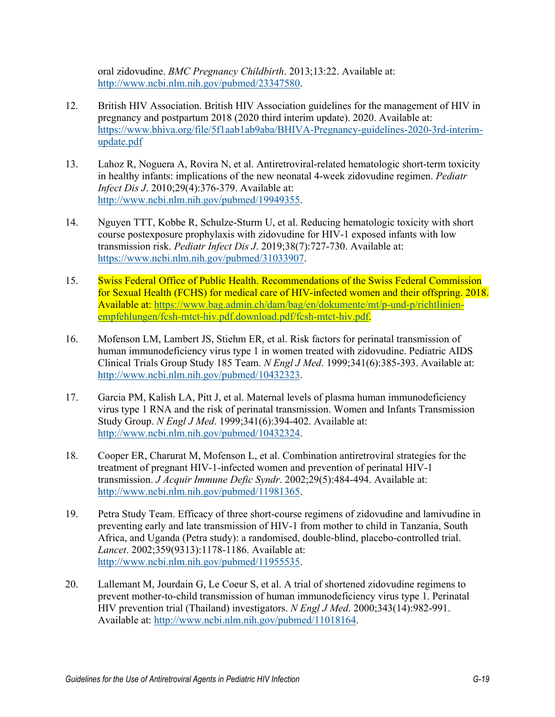oral zidovudine. *BMC Pregnancy Childbirth*. 2013;13:22. Available at: [http://www.ncbi.nlm.nih.gov/pubmed/23347580.](http://www.ncbi.nlm.nih.gov/pubmed/23347580)

- <span id="page-18-0"></span>12. British HIV Association. British HIV Association guidelines for the management of HIV in pregnancy and postpartum 2018 (2020 third interim update). 2020. Available at: [https://www.bhiva.org/file/5f1aab1ab9aba/BHIVA-Pregnancy-guidelines-2020-3rd-interim](https://www.bhiva.org/file/5f1aab1ab9aba/BHIVA-Pregnancy-guidelines-2020-3rd-interim-update.pdf)[update.pdf](https://www.bhiva.org/file/5f1aab1ab9aba/BHIVA-Pregnancy-guidelines-2020-3rd-interim-update.pdf)
- <span id="page-18-1"></span>13. Lahoz R, Noguera A, Rovira N, et al. Antiretroviral-related hematologic short-term toxicity in healthy infants: implications of the new neonatal 4-week zidovudine regimen. *Pediatr Infect Dis J*. 2010;29(4):376-379. Available at: [http://www.ncbi.nlm.nih.gov/pubmed/19949355.](http://www.ncbi.nlm.nih.gov/pubmed/19949355)
- <span id="page-18-2"></span>14. Nguyen TTT, Kobbe R, Schulze-Sturm U, et al. Reducing hematologic toxicity with short course postexposure prophylaxis with zidovudine for HIV-1 exposed infants with low transmission risk. *Pediatr Infect Dis J*. 2019;38(7):727-730. Available at: [https://www.ncbi.nlm.nih.gov/pubmed/31033907.](https://www.ncbi.nlm.nih.gov/pubmed/31033907)
- <span id="page-18-3"></span>15. Swiss Federal Office of Public Health. Recommendations of the Swiss Federal Commission for Sexual Health (FCHS) for medical care of HIV-infected women and their offspring. 2018. Available at: [https://www.bag.admin.ch/dam/bag/en/dokumente/mt/p-und-p/richtlinien](https://www.bag.admin.ch/dam/bag/en/dokumente/mt/p-und-p/richtlinien-empfehlungen/fcsh-mtct-hiv.pdf.download.pdf/fcsh-mtct-hiv.pdf)[empfehlungen/fcsh-mtct-hiv.pdf.download.pdf/fcsh-mtct-hiv.pdf.](https://www.bag.admin.ch/dam/bag/en/dokumente/mt/p-und-p/richtlinien-empfehlungen/fcsh-mtct-hiv.pdf.download.pdf/fcsh-mtct-hiv.pdf)
- <span id="page-18-4"></span>16. Mofenson LM, Lambert JS, Stiehm ER, et al. Risk factors for perinatal transmission of human immunodeficiency virus type 1 in women treated with zidovudine. Pediatric AIDS Clinical Trials Group Study 185 Team. *N Engl J Med*. 1999;341(6):385-393. Available at: [http://www.ncbi.nlm.nih.gov/pubmed/10432323.](http://www.ncbi.nlm.nih.gov/pubmed/10432323)
- 17. Garcia PM, Kalish LA, Pitt J, et al. Maternal levels of plasma human immunodeficiency virus type 1 RNA and the risk of perinatal transmission. Women and Infants Transmission Study Group. *N Engl J Med*. 1999;341(6):394-402. Available at: [http://www.ncbi.nlm.nih.gov/pubmed/10432324.](http://www.ncbi.nlm.nih.gov/pubmed/10432324)
- 18. Cooper ER, Charurat M, Mofenson L, et al. Combination antiretroviral strategies for the treatment of pregnant HIV-1-infected women and prevention of perinatal HIV-1 transmission. *J Acquir Immune Defic Syndr*. 2002;29(5):484-494. Available at: [http://www.ncbi.nlm.nih.gov/pubmed/11981365.](http://www.ncbi.nlm.nih.gov/pubmed/11981365)
- <span id="page-18-5"></span>19. Petra Study Team. Efficacy of three short-course regimens of zidovudine and lamivudine in preventing early and late transmission of HIV-1 from mother to child in Tanzania, South Africa, and Uganda (Petra study): a randomised, double-blind, placebo-controlled trial. *Lancet*. 2002;359(9313):1178-1186. Available at: [http://www.ncbi.nlm.nih.gov/pubmed/11955535.](http://www.ncbi.nlm.nih.gov/pubmed/11955535)
- 20. Lallemant M, Jourdain G, Le Coeur S, et al. A trial of shortened zidovudine regimens to prevent mother-to-child transmission of human immunodeficiency virus type 1. Perinatal HIV prevention trial (Thailand) investigators. *N Engl J Med*. 2000;343(14):982-991. Available at: [http://www.ncbi.nlm.nih.gov/pubmed/11018164.](http://www.ncbi.nlm.nih.gov/pubmed/11018164)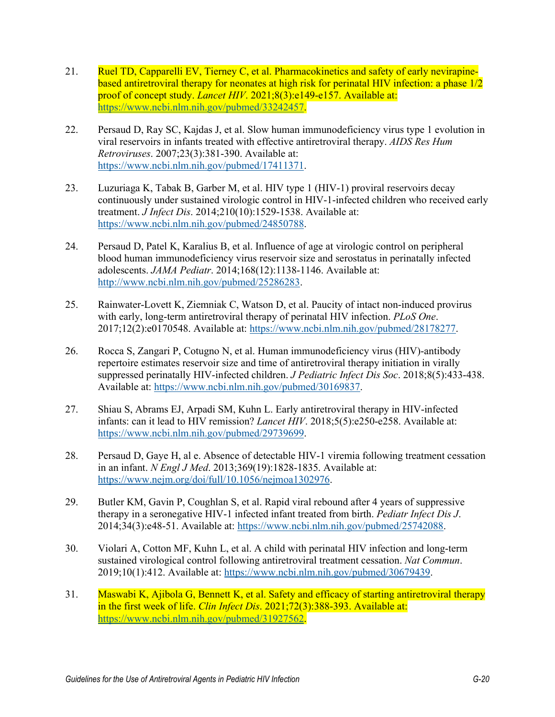- <span id="page-19-1"></span>21. Ruel TD, Capparelli EV, Tierney C, et al. Pharmacokinetics and safety of early nevirapinebased antiretroviral therapy for neonates at high risk for perinatal HIV infection: a phase 1/2 proof of concept study. *Lancet HIV*. 2021;8(3):e149-e157. Available at: [https://www.ncbi.nlm.nih.gov/pubmed/33242457.](https://www.ncbi.nlm.nih.gov/pubmed/33242457)
- <span id="page-19-0"></span>22. Persaud D, Ray SC, Kajdas J, et al. Slow human immunodeficiency virus type 1 evolution in viral reservoirs in infants treated with effective antiretroviral therapy. *AIDS Res Hum Retroviruses*. 2007;23(3):381-390. Available at: [https://www.ncbi.nlm.nih.gov/pubmed/17411371.](https://www.ncbi.nlm.nih.gov/pubmed/17411371)
- 23. Luzuriaga K, Tabak B, Garber M, et al. HIV type 1 (HIV-1) proviral reservoirs decay continuously under sustained virologic control in HIV-1-infected children who received early treatment. *J Infect Dis*. 2014;210(10):1529-1538. Available at: [https://www.ncbi.nlm.nih.gov/pubmed/24850788.](https://www.ncbi.nlm.nih.gov/pubmed/24850788)
- 24. Persaud D, Patel K, Karalius B, et al. Influence of age at virologic control on peripheral blood human immunodeficiency virus reservoir size and serostatus in perinatally infected adolescents. *JAMA Pediatr*. 2014;168(12):1138-1146. Available at: [http://www.ncbi.nlm.nih.gov/pubmed/25286283.](http://www.ncbi.nlm.nih.gov/pubmed/25286283)
- 25. Rainwater-Lovett K, Ziemniak C, Watson D, et al. Paucity of intact non-induced provirus with early, long-term antiretroviral therapy of perinatal HIV infection. *PLoS One*. 2017;12(2):e0170548. Available at: [https://www.ncbi.nlm.nih.gov/pubmed/28178277.](https://www.ncbi.nlm.nih.gov/pubmed/28178277)
- 26. Rocca S, Zangari P, Cotugno N, et al. Human immunodeficiency virus (HIV)-antibody repertoire estimates reservoir size and time of antiretroviral therapy initiation in virally suppressed perinatally HIV-infected children. *J Pediatric Infect Dis Soc*. 2018;8(5):433-438. Available at: [https://www.ncbi.nlm.nih.gov/pubmed/30169837.](https://www.ncbi.nlm.nih.gov/pubmed/30169837)
- 27. Shiau S, Abrams EJ, Arpadi SM, Kuhn L. Early antiretroviral therapy in HIV-infected infants: can it lead to HIV remission? *Lancet HIV*. 2018;5(5):e250-e258. Available at: [https://www.ncbi.nlm.nih.gov/pubmed/29739699.](https://www.ncbi.nlm.nih.gov/pubmed/29739699)
- 28. Persaud D, Gaye H, al e. Absence of detectable HIV-1 viremia following treatment cessation in an infant. *N Engl J Med*. 2013;369(19):1828-1835. Available at: https://www.nejm.org/doi/full/10.1056/nejmoa1302976.
- 29. Butler KM, Gavin P, Coughlan S, et al. Rapid viral rebound after 4 years of suppressive therapy in a seronegative HIV-1 infected infant treated from birth. *Pediatr Infect Dis J*. 2014;34(3):e48-51. Available at: [https://www.ncbi.nlm.nih.gov/pubmed/25742088.](https://www.ncbi.nlm.nih.gov/pubmed/25742088)
- 30. Violari A, Cotton MF, Kuhn L, et al. A child with perinatal HIV infection and long-term sustained virological control following antiretroviral treatment cessation. *Nat Commun*. 2019;10(1):412. Available at: [https://www.ncbi.nlm.nih.gov/pubmed/30679439.](https://www.ncbi.nlm.nih.gov/pubmed/30679439)
- <span id="page-19-2"></span>31. Maswabi K, Ajibola G, Bennett K, et al. Safety and efficacy of starting antiretroviral therapy in the first week of life. *Clin Infect Dis*. 2021;72(3):388-393. Available at: [https://www.ncbi.nlm.nih.gov/pubmed/31927562.](https://www.ncbi.nlm.nih.gov/pubmed/31927562)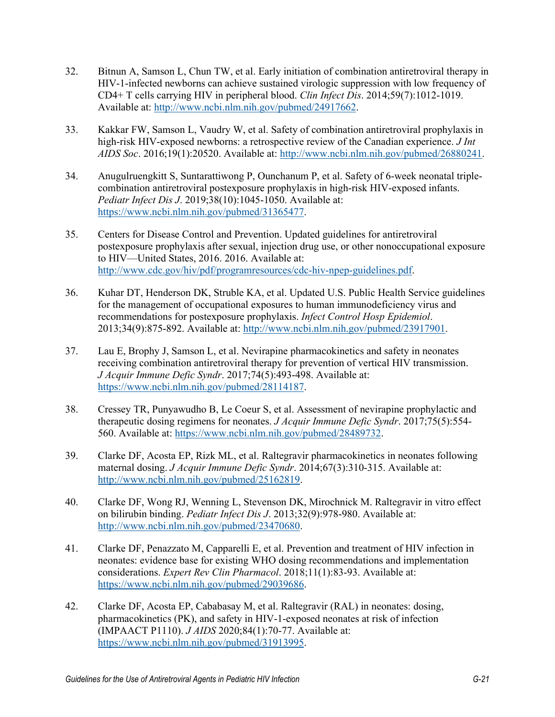- 32. Bitnun A, Samson L, Chun TW, et al. Early initiation of combination antiretroviral therapy in HIV-1-infected newborns can achieve sustained virologic suppression with low frequency of CD4+ T cells carrying HIV in peripheral blood. *Clin Infect Dis*. 2014;59(7):1012-1019. Available at: [http://www.ncbi.nlm.nih.gov/pubmed/24917662.](http://www.ncbi.nlm.nih.gov/pubmed/24917662)
- <span id="page-20-1"></span>33. Kakkar FW, Samson L, Vaudry W, et al. Safety of combination antiretroviral prophylaxis in high-risk HIV-exposed newborns: a retrospective review of the Canadian experience. *J Int AIDS Soc*. 2016;19(1):20520. Available at: [http://www.ncbi.nlm.nih.gov/pubmed/26880241.](http://www.ncbi.nlm.nih.gov/pubmed/26880241)
- <span id="page-20-0"></span>34. Anugulruengkitt S, Suntarattiwong P, Ounchanum P, et al. Safety of 6-week neonatal triplecombination antiretroviral postexposure prophylaxis in high-risk HIV-exposed infants. *Pediatr Infect Dis J*. 2019;38(10):1045-1050. Available at: [https://www.ncbi.nlm.nih.gov/pubmed/31365477.](https://www.ncbi.nlm.nih.gov/pubmed/31365477)
- <span id="page-20-2"></span>35. Centers for Disease Control and Prevention. Updated guidelines for antiretroviral postexposure prophylaxis after sexual, injection drug use, or other nonoccupational exposure to HIV—United States, 2016. 2016. Available at: [http://www.cdc.gov/hiv/pdf/programresources/cdc-hiv-npep-guidelines.pdf.](http://www.cdc.gov/hiv/pdf/programresources/cdc-hiv-npep-guidelines.pdf)
- <span id="page-20-3"></span>36. Kuhar DT, Henderson DK, Struble KA, et al. Updated U.S. Public Health Service guidelines for the management of occupational exposures to human immunodeficiency virus and recommendations for postexposure prophylaxis. *Infect Control Hosp Epidemiol*. 2013;34(9):875-892. Available at: [http://www.ncbi.nlm.nih.gov/pubmed/23917901.](http://www.ncbi.nlm.nih.gov/pubmed/23917901)
- <span id="page-20-4"></span>37. Lau E, Brophy J, Samson L, et al. Nevirapine pharmacokinetics and safety in neonates receiving combination antiretroviral therapy for prevention of vertical HIV transmission. *J Acquir Immune Defic Syndr*. 2017;74(5):493-498. Available at: [https://www.ncbi.nlm.nih.gov/pubmed/28114187.](https://www.ncbi.nlm.nih.gov/pubmed/28114187)
- 38. Cressey TR, Punyawudho B, Le Coeur S, et al. Assessment of nevirapine prophylactic and therapeutic dosing regimens for neonates. *J Acquir Immune Defic Syndr*. 2017;75(5):554- 560. Available at: [https://www.ncbi.nlm.nih.gov/pubmed/28489732.](https://www.ncbi.nlm.nih.gov/pubmed/28489732)
- 39. Clarke DF, Acosta EP, Rizk ML, et al. Raltegravir pharmacokinetics in neonates following maternal dosing. *J Acquir Immune Defic Syndr*. 2014;67(3):310-315. Available at: [http://www.ncbi.nlm.nih.gov/pubmed/25162819.](http://www.ncbi.nlm.nih.gov/pubmed/25162819)
- <span id="page-20-5"></span>40. Clarke DF, Wong RJ, Wenning L, Stevenson DK, Mirochnick M. Raltegravir in vitro effect on bilirubin binding. *Pediatr Infect Dis J*. 2013;32(9):978-980. Available at: [http://www.ncbi.nlm.nih.gov/pubmed/23470680.](http://www.ncbi.nlm.nih.gov/pubmed/23470680)
- 41. Clarke DF, Penazzato M, Capparelli E, et al. Prevention and treatment of HIV infection in neonates: evidence base for existing WHO dosing recommendations and implementation considerations. *Expert Rev Clin Pharmacol*. 2018;11(1):83-93. Available at: [https://www.ncbi.nlm.nih.gov/pubmed/29039686.](https://www.ncbi.nlm.nih.gov/pubmed/29039686)
- 42. Clarke DF, Acosta EP, Cababasay M, et al. Raltegravir (RAL) in neonates: dosing, pharmacokinetics (PK), and safety in HIV-1-exposed neonates at risk of infection (IMPAACT P1110). *J AIDS* 2020;84(1):70-77. Available at: [https://www.ncbi.nlm.nih.gov/pubmed/31913995.](https://www.ncbi.nlm.nih.gov/pubmed/31913995)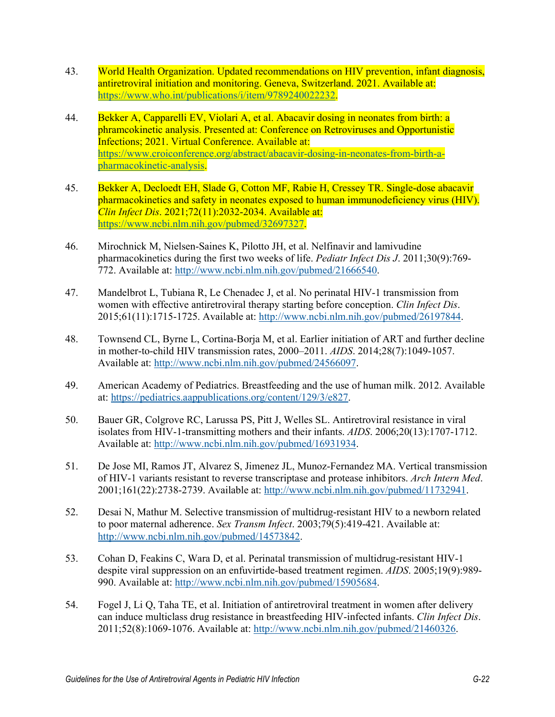- <span id="page-21-0"></span>43. World Health Organization. Updated recommendations on HIV prevention, infant diagnosis, antiretroviral initiation and monitoring. Geneva, Switzerland. 2021. Available at: [https://www.who.int/publications/i/item/9789240022232.](https://www.who.int/publications/i/item/9789240022232)
- 44. Bekker A, Capparelli EV, Violari A, et al. Abacavir dosing in neonates from birth: a phramcokinetic analysis. Presented at: Conference on Retroviruses and Opportunistic Infections; 2021. Virtual Conference. Available at: [https://www.croiconference.org/abstract/abacavir-dosing-in-neonates-from-birth-a](https://www.croiconference.org/abstract/abacavir-dosing-in-neonates-from-birth-a-pharmacokinetic-analysis/)[pharmacokinetic-analysis.](https://www.croiconference.org/abstract/abacavir-dosing-in-neonates-from-birth-a-pharmacokinetic-analysis/)
- 45. Bekker A, Decloedt EH, Slade G, Cotton MF, Rabie H, Cressey TR. Single-dose abacavir pharmacokinetics and safety in neonates exposed to human immunodeficiency virus (HIV). *Clin Infect Dis*. 2021;72(11):2032-2034. Available at: [https://www.ncbi.nlm.nih.gov/pubmed/32697327.](https://www.ncbi.nlm.nih.gov/pubmed/32697327)
- <span id="page-21-1"></span>46. Mirochnick M, Nielsen-Saines K, Pilotto JH, et al. Nelfinavir and lamivudine pharmacokinetics during the first two weeks of life. *Pediatr Infect Dis J*. 2011;30(9):769- 772. Available at: [http://www.ncbi.nlm.nih.gov/pubmed/21666540.](http://www.ncbi.nlm.nih.gov/pubmed/21666540)
- <span id="page-21-2"></span>47. Mandelbrot L, Tubiana R, Le Chenadec J, et al. No perinatal HIV-1 transmission from women with effective antiretroviral therapy starting before conception. *Clin Infect Dis*. 2015;61(11):1715-1725. Available at: [http://www.ncbi.nlm.nih.gov/pubmed/26197844.](http://www.ncbi.nlm.nih.gov/pubmed/26197844)
- <span id="page-21-3"></span>48. Townsend CL, Byrne L, Cortina-Borja M, et al. Earlier initiation of ART and further decline in mother-to-child HIV transmission rates, 2000–2011. *AIDS*. 2014;28(7):1049-1057. Available at: [http://www.ncbi.nlm.nih.gov/pubmed/24566097.](http://www.ncbi.nlm.nih.gov/pubmed/24566097)
- <span id="page-21-4"></span>49. American Academy of Pediatrics. Breastfeeding and the use of human milk. 2012. Available at: [https://pediatrics.aappublications.org/content/129/3/e827.](https://pediatrics.aappublications.org/content/129/3/e827)
- <span id="page-21-5"></span>50. Bauer GR, Colgrove RC, Larussa PS, Pitt J, Welles SL. Antiretroviral resistance in viral isolates from HIV-1-transmitting mothers and their infants. *AIDS*. 2006;20(13):1707-1712. Available at: [http://www.ncbi.nlm.nih.gov/pubmed/16931934.](http://www.ncbi.nlm.nih.gov/pubmed/16931934)
- <span id="page-21-6"></span>51. De Jose MI, Ramos JT, Alvarez S, Jimenez JL, Munoz-Fernandez MA. Vertical transmission of HIV-1 variants resistant to reverse transcriptase and protease inhibitors. *Arch Intern Med*. 2001;161(22):2738-2739. Available at: [http://www.ncbi.nlm.nih.gov/pubmed/11732941.](http://www.ncbi.nlm.nih.gov/pubmed/11732941)
- 52. Desai N, Mathur M. Selective transmission of multidrug-resistant HIV to a newborn related to poor maternal adherence. *Sex Transm Infect*. 2003;79(5):419-421. Available at: [http://www.ncbi.nlm.nih.gov/pubmed/14573842.](http://www.ncbi.nlm.nih.gov/pubmed/14573842)
- 53. Cohan D, Feakins C, Wara D, et al. Perinatal transmission of multidrug-resistant HIV-1 despite viral suppression on an enfuvirtide-based treatment regimen. *AIDS*. 2005;19(9):989- 990. Available at: [http://www.ncbi.nlm.nih.gov/pubmed/15905684.](http://www.ncbi.nlm.nih.gov/pubmed/15905684)
- 54. Fogel J, Li Q, Taha TE, et al. Initiation of antiretroviral treatment in women after delivery can induce multiclass drug resistance in breastfeeding HIV-infected infants. *Clin Infect Dis*. 2011;52(8):1069-1076. Available at: [http://www.ncbi.nlm.nih.gov/pubmed/21460326.](http://www.ncbi.nlm.nih.gov/pubmed/21460326)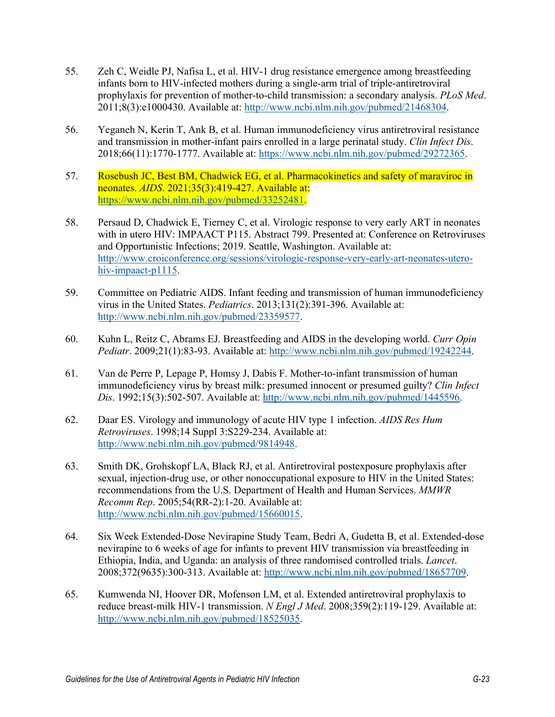- 55. Zeh C, Weidle PJ, Nafisa L, et al. HIV-1 drug resistance emergence among breastfeeding infants born to HIV-infected mothers during a single-arm trial of triple-antiretroviral prophylaxis for prevention of mother-to-child transmission: a secondary analysis. *PLoS Med*. 2011;8(3):e1000430. Available at: [http://www.ncbi.nlm.nih.gov/pubmed/21468304.](http://www.ncbi.nlm.nih.gov/pubmed/21468304)
- <span id="page-22-0"></span>56. Yeganeh N, Kerin T, Ank B, et al. Human immunodeficiency virus antiretroviral resistance and transmission in mother-infant pairs enrolled in a large perinatal study. *Clin Infect Dis*. 2018;66(11):1770-1777. Available at: [https://www.ncbi.nlm.nih.gov/pubmed/29272365.](https://www.ncbi.nlm.nih.gov/pubmed/29272365)
- <span id="page-22-1"></span>57. Rosebush JC, Best BM, Chadwick EG, et al. Pharmacokinetics and safety of maraviroc in neonates. *AIDS*. 2021;35(3):419-427. Available at: [https://www.ncbi.nlm.nih.gov/pubmed/33252481.](https://www.ncbi.nlm.nih.gov/pubmed/33252481)
- <span id="page-22-2"></span>58. Persaud D, Chadwick E, Tierney C, et al. Virologic response to very early ART in neonates with in utero HIV: IMPAACT P115. Abstract 799. Presented at: Conference on Retroviruses and Opportunistic Infections; 2019. Seattle, Washington. Available at: [http://www.croiconference.org/sessions/virologic-response-very-early-art-neonates-utero](http://www.croiconference.org/sessions/virologic-response-very-early-art-neonates-utero-hiv-impaact-p1115)[hiv-impaact-p1115.](http://www.croiconference.org/sessions/virologic-response-very-early-art-neonates-utero-hiv-impaact-p1115)
- <span id="page-22-3"></span>59. Committee on Pediatric AIDS. Infant feeding and transmission of human immunodeficiency virus in the United States. *Pediatrics*. 2013;131(2):391-396. Available at: [http://www.ncbi.nlm.nih.gov/pubmed/23359577.](http://www.ncbi.nlm.nih.gov/pubmed/23359577)
- <span id="page-22-4"></span>60. Kuhn L, Reitz C, Abrams EJ. Breastfeeding and AIDS in the developing world. *Curr Opin Pediatr*. 2009;21(1):83-93. Available at: [http://www.ncbi.nlm.nih.gov/pubmed/19242244.](http://www.ncbi.nlm.nih.gov/pubmed/19242244)
- <span id="page-22-5"></span>61. Van de Perre P, Lepage P, Homsy J, Dabis F. Mother-to-infant transmission of human immunodeficiency virus by breast milk: presumed innocent or presumed guilty? *Clin Infect Dis*. 1992;15(3):502-507. Available at: [http://www.ncbi.nlm.nih.gov/pubmed/1445596.](http://www.ncbi.nlm.nih.gov/pubmed/1445596)
- <span id="page-22-6"></span>62. Daar ES. Virology and immunology of acute HIV type 1 infection. *AIDS Res Hum Retroviruses*. 1998;14 Suppl 3:S229-234. Available at: [http://www.ncbi.nlm.nih.gov/pubmed/9814948.](http://www.ncbi.nlm.nih.gov/pubmed/9814948)
- <span id="page-22-7"></span>63. Smith DK, Grohskopf LA, Black RJ, et al. Antiretroviral postexposure prophylaxis after sexual, injection-drug use, or other nonoccupational exposure to HIV in the United States: recommendations from the U.S. Department of Health and Human Services. *MMWR Recomm Rep*. 2005;54(RR-2):1-20. Available at: [http://www.ncbi.nlm.nih.gov/pubmed/15660015.](http://www.ncbi.nlm.nih.gov/pubmed/15660015)
- <span id="page-22-8"></span>64. Six Week Extended-Dose Nevirapine Study Team, Bedri A, Gudetta B, et al. Extended-dose nevirapine to 6 weeks of age for infants to prevent HIV transmission via breastfeeding in Ethiopia, India, and Uganda: an analysis of three randomised controlled trials. *Lancet*. 2008;372(9635):300-313. Available at: [http://www.ncbi.nlm.nih.gov/pubmed/18657709.](http://www.ncbi.nlm.nih.gov/pubmed/18657709)
- 65. Kumwenda NI, Hoover DR, Mofenson LM, et al. Extended antiretroviral prophylaxis to reduce breast-milk HIV-1 transmission. *N Engl J Med*. 2008;359(2):119-129. Available at: [http://www.ncbi.nlm.nih.gov/pubmed/18525035.](http://www.ncbi.nlm.nih.gov/pubmed/18525035)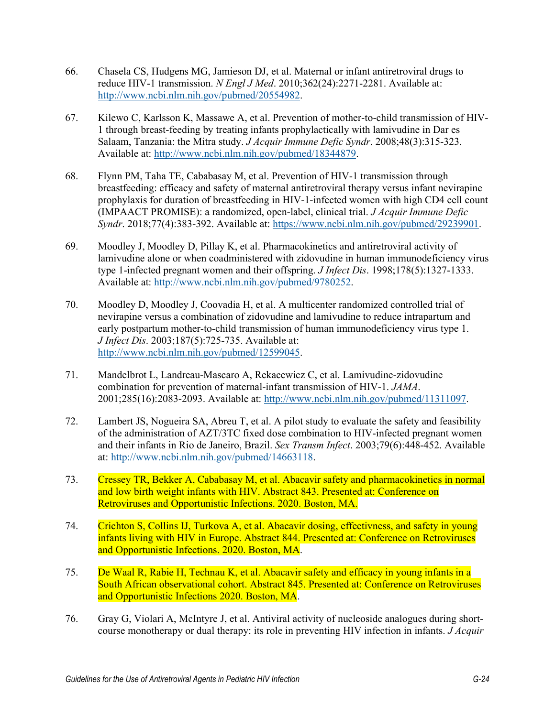- 66. Chasela CS, Hudgens MG, Jamieson DJ, et al. Maternal or infant antiretroviral drugs to reduce HIV-1 transmission. *N Engl J Med*. 2010;362(24):2271-2281. Available at: [http://www.ncbi.nlm.nih.gov/pubmed/20554982.](http://www.ncbi.nlm.nih.gov/pubmed/20554982)
- 67. Kilewo C, Karlsson K, Massawe A, et al. Prevention of mother-to-child transmission of HIV-1 through breast-feeding by treating infants prophylactically with lamivudine in Dar es Salaam, Tanzania: the Mitra study. *J Acquir Immune Defic Syndr*. 2008;48(3):315-323. Available at: [http://www.ncbi.nlm.nih.gov/pubmed/18344879.](http://www.ncbi.nlm.nih.gov/pubmed/18344879)
- <span id="page-23-6"></span>68. Flynn PM, Taha TE, Cababasay M, et al. Prevention of HIV-1 transmission through breastfeeding: efficacy and safety of maternal antiretroviral therapy versus infant nevirapine prophylaxis for duration of breastfeeding in HIV-1-infected women with high CD4 cell count (IMPAACT PROMISE): a randomized, open-label, clinical trial. *J Acquir Immune Defic Syndr*. 2018;77(4):383-392. Available at: [https://www.ncbi.nlm.nih.gov/pubmed/29239901.](https://www.ncbi.nlm.nih.gov/pubmed/29239901)
- <span id="page-23-0"></span>69. Moodley J, Moodley D, Pillay K, et al. Pharmacokinetics and antiretroviral activity of lamivudine alone or when coadministered with zidovudine in human immunodeficiency virus type 1-infected pregnant women and their offspring. *J Infect Dis*. 1998;178(5):1327-1333. Available at: [http://www.ncbi.nlm.nih.gov/pubmed/9780252.](http://www.ncbi.nlm.nih.gov/pubmed/9780252)
- <span id="page-23-1"></span>70. Moodley D, Moodley J, Coovadia H, et al. A multicenter randomized controlled trial of nevirapine versus a combination of zidovudine and lamivudine to reduce intrapartum and early postpartum mother-to-child transmission of human immunodeficiency virus type 1. *J Infect Dis*. 2003;187(5):725-735. Available at: [http://www.ncbi.nlm.nih.gov/pubmed/12599045.](http://www.ncbi.nlm.nih.gov/pubmed/12599045)
- <span id="page-23-2"></span>71. Mandelbrot L, Landreau-Mascaro A, Rekacewicz C, et al. Lamivudine-zidovudine combination for prevention of maternal-infant transmission of HIV-1. *JAMA*. 2001;285(16):2083-2093. Available at: [http://www.ncbi.nlm.nih.gov/pubmed/11311097.](http://www.ncbi.nlm.nih.gov/pubmed/11311097)
- <span id="page-23-3"></span>72. Lambert JS, Nogueira SA, Abreu T, et al. A pilot study to evaluate the safety and feasibility of the administration of AZT/3TC fixed dose combination to HIV-infected pregnant women and their infants in Rio de Janeiro, Brazil. *Sex Transm Infect*. 2003;79(6):448-452. Available at: [http://www.ncbi.nlm.nih.gov/pubmed/14663118.](http://www.ncbi.nlm.nih.gov/pubmed/14663118)
- <span id="page-23-4"></span>73. Cressey TR, Bekker A, Cababasay M, et al. Abacavir safety and pharmacokinetics in normal and low birth weight infants with HIV. Abstract 843. Presented at: Conference on Retroviruses and Opportunistic Infections. 2020. Boston, MA.
- 74. Crichton S, Collins IJ, Turkova A, et al. Abacavir dosing, effectivness, and safety in young infants living with HIV in Europe. Abstract 844. Presented at: Conference on Retroviruses and Opportunistic Infections. 2020. Boston, MA.
- 75. De Waal R, Rabie H, Technau K, et al. Abacavir safety and efficacy in young infants in a South African observational cohort. Abstract 845. Presented at: Conference on Retroviruses and Opportunistic Infections 2020. Boston, MA.
- <span id="page-23-5"></span>76. Gray G, Violari A, McIntyre J, et al. Antiviral activity of nucleoside analogues during shortcourse monotherapy or dual therapy: its role in preventing HIV infection in infants. *J Acquir*